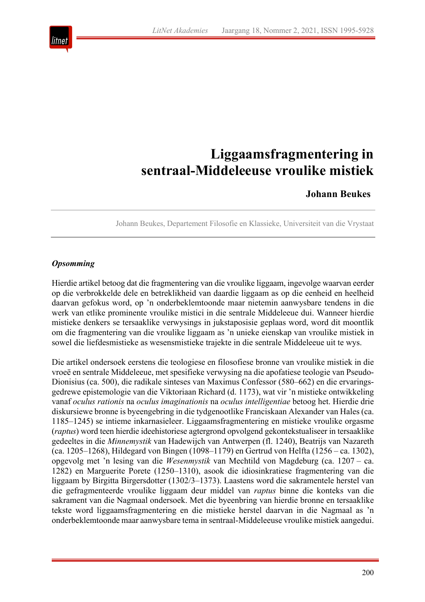

# **Liggaamsfragmentering in sentraal-Middeleeuse vroulike mistiek**

## **Johann Beukes**

Johann Beukes, Departement Filosofie en Klassieke, Universiteit van die Vrystaat

## *Opsomming*

Hierdie artikel betoog dat die fragmentering van die vroulike liggaam, ingevolge waarvan eerder op die verbrokkelde dele en betreklikheid van daardie liggaam as op die eenheid en heelheid daarvan gefokus word, op 'n onderbeklemtoonde maar nietemin aanwysbare tendens in die werk van etlike prominente vroulike mistici in die sentrale Middeleeue dui. Wanneer hierdie mistieke denkers se tersaaklike verwysings in jukstaposisie geplaas word, word dit moontlik om die fragmentering van die vroulike liggaam as 'n unieke eienskap van vroulike mistiek in sowel die liefdesmistieke as wesensmistieke trajekte in die sentrale Middeleeue uit te wys.

Die artikel ondersoek eerstens die teologiese en filosofiese bronne van vroulike mistiek in die vroeë en sentrale Middeleeue, met spesifieke verwysing na die apofatiese teologie van Pseudo-Dionisius (ca. 500), die radikale sinteses van Maximus Confessor (580–662) en die ervaringsgedrewe epistemologie van die Viktoriaan Richard (d. 1173), wat vir 'n mistieke ontwikkeling vanaf *oculus rationis* na *oculus imaginationis* na *oculus intelligentiae* betoog het. Hierdie drie diskursiewe bronne is byeengebring in die tydgenootlike Franciskaan Alexander van Hales (ca. 1185–1245) se intieme inkarnasieleer. Liggaamsfragmentering en mistieke vroulike orgasme (*raptus*) word teen hierdie ideehistoriese agtergrond opvolgend gekontekstualiseer in tersaaklike gedeeltes in die *Minnemystik* van Hadewijch van Antwerpen (fl. 1240), Beatrijs van Nazareth (ca. 1205–1268), Hildegard von Bingen (1098–1179) en Gertrud von Helfta (1256 – ca. 1302), opgevolg met 'n lesing van die *Wesenmystik* van Mechtild von Magdeburg (ca. 1207 – ca. 1282) en Marguerite Porete (1250–1310), asook die idiosinkratiese fragmentering van die liggaam by Birgitta Birgersdotter (1302/3–1373). Laastens word die sakramentele herstel van die gefragmenteerde vroulike liggaam deur middel van *raptus* binne die konteks van die sakrament van die Nagmaal ondersoek. Met die byeenbring van hierdie bronne en tersaaklike tekste word liggaamsfragmentering en die mistieke herstel daarvan in die Nagmaal as 'n onderbeklemtoonde maar aanwysbare tema in sentraal-Middeleeuse vroulike mistiek aangedui.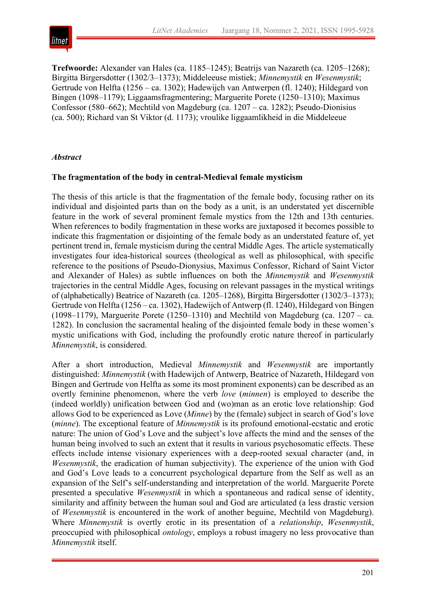

**Trefwoorde:** Alexander van Hales (ca. 1185–1245); Beatrijs van Nazareth (ca. 1205–1268); Birgitta Birgersdotter (1302/3–1373); Middeleeuse mistiek; *Minnemystik* en *Wesenmystik*; Gertrude von Helfta (1256 – ca. 1302); Hadewijch van Antwerpen (fl. 1240); Hildegard von Bingen (1098–1179); Liggaamsfragmentering; Marguerite Porete (1250–1310); Maximus Confessor (580–662); Mechtild von Magdeburg (ca. 1207 – ca. 1282); Pseudo-Dionisius (ca. 500); Richard van St Viktor (d. 1173); vroulike liggaamlikheid in die Middeleeue

## *Abstract*

## **The fragmentation of the body in central-Medieval female mysticism**

The thesis of this article is that the fragmentation of the female body, focusing rather on its individual and disjointed parts than on the body as a unit, is an understated yet discernible feature in the work of several prominent female mystics from the 12th and 13th centuries. When references to bodily fragmentation in these works are juxtaposed it becomes possible to indicate this fragmentation or disjointing of the female body as an understated feature of, yet pertinent trend in, female mysticism during the central Middle Ages. The article systematically investigates four idea-historical sources (theological as well as philosophical, with specific reference to the positions of Pseudo-Dionysius, Maximus Confessor, Richard of Saint Victor and Alexander of Hales) as subtle influences on both the *Minnemystik* and *Wesenmystik* trajectories in the central Middle Ages, focusing on relevant passages in the mystical writings of (alphabetically) Beatrice of Nazareth (ca. 1205–1268), Birgitta Birgersdotter (1302/3–1373); Gertrude von Helfta (1256 – ca. 1302), Hadewijch of Antwerp (fl. 1240), Hildegard von Bingen (1098–1179), Marguerite Porete (1250–1310) and Mechtild von Magdeburg (ca. 1207 – ca. 1282). In conclusion the sacramental healing of the disjointed female body in these women's mystic unifications with God, including the profoundly erotic nature thereof in particularly *Minnemystik*, is considered.

After a short introduction, Medieval *Minnemystik* and *Wesenmystik* are importantly distinguished: *Minnemystik* (with Hadewijch of Antwerp, Beatrice of Nazareth, Hildegard von Bingen and Gertrude von Helfta as some its most prominent exponents) can be described as an overtly feminine phenomenon, where the verb *love* (*minnen*) is employed to describe the (indeed worldly) unification between God and (wo)man as an erotic love relationship: God allows God to be experienced as Love (*Minne*) by the (female) subject in search of God's love (*minne*). The exceptional feature of *Minnemystik* is its profound emotional-ecstatic and erotic nature: The union of God's Love and the subject's love affects the mind and the senses of the human being involved to such an extent that it results in various psychosomatic effects. These effects include intense visionary experiences with a deep-rooted sexual character (and, in *Wesenmystik*, the eradication of human subjectivity). The experience of the union with God and God's Love leads to a concurrent psychological departure from the Self as well as an expansion of the Self's self-understanding and interpretation of the world. Marguerite Porete presented a speculative *Wesenmystik* in which a spontaneous and radical sense of identity, similarity and affinity between the human soul and God are articulated (a less drastic version of *Wesenmystik* is encountered in the work of another beguine, Mechtild von Magdeburg). Where *Minnemystik* is overtly erotic in its presentation of a *relationship*, *Wesenmystik*, preoccupied with philosophical *ontology*, employs a robust imagery no less provocative than *Minnemystik* itself.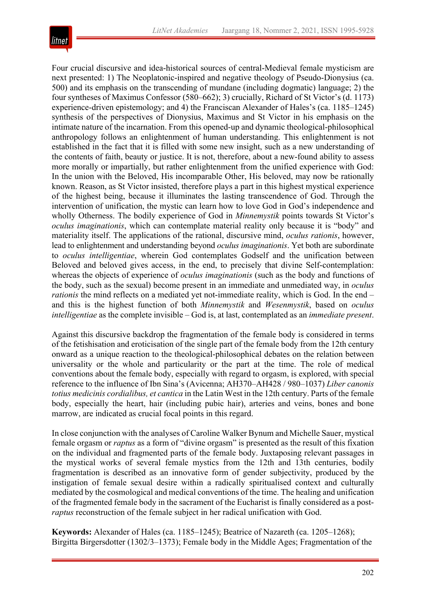# lıtnet

Four crucial discursive and idea-historical sources of central-Medieval female mysticism are next presented: 1) The Neoplatonic-inspired and negative theology of Pseudo-Dionysius (ca. 500) and its emphasis on the transcending of mundane (including dogmatic) language; 2) the four syntheses of Maximus Confessor (580–662); 3) crucially, Richard of St Victor's (d. 1173) experience-driven epistemology; and 4) the Franciscan Alexander of Hales's (ca. 1185–1245) synthesis of the perspectives of Dionysius, Maximus and St Victor in his emphasis on the intimate nature of the incarnation. From this opened-up and dynamic theological-philosophical anthropology follows an enlightenment of human understanding. This enlightenment is not established in the fact that it is filled with some new insight, such as a new understanding of the contents of faith, beauty or justice. It is not, therefore, about a new-found ability to assess more morally or impartially, but rather enlightenment from the unified experience with God: In the union with the Beloved, His incomparable Other, His beloved, may now be rationally known. Reason, as St Victor insisted, therefore plays a part in this highest mystical experience of the highest being, because it illuminates the lasting transcendence of God. Through the intervention of unification, the mystic can learn how to love God in God's independence and wholly Otherness. The bodily experience of God in *Minnemystik* points towards St Victor's *oculus imaginationis*, which can contemplate material reality only because it is "body" and materiality itself. The applications of the rational, discursive mind, *oculus rationis*, however, lead to enlightenment and understanding beyond *oculus imaginationis*. Yet both are subordinate to *oculus intelligentiae*, wherein God contemplates Godself and the unification between Beloved and beloved gives access, in the end, to precisely that divine Self-contemplation: whereas the objects of experience of *oculus imaginationis* (such as the body and functions of the body, such as the sexual) become present in an immediate and unmediated way, in *oculus rationis* the mind reflects on a mediated yet not-immediate reality, which is God. In the end – and this is the highest function of both *Minnemystik* and *Wesenmystik*, based on *oculus intelligentiae* as the complete invisible – God is, at last, contemplated as an *immediate present*.

Against this discursive backdrop the fragmentation of the female body is considered in terms of the fetishisation and eroticisation of the single part of the female body from the 12th century onward as a unique reaction to the theological-philosophical debates on the relation between universality or the whole and particularity or the part at the time. The role of medical conventions about the female body, especially with regard to orgasm, is explored, with special reference to the influence of Ibn Sina's (Avicenna; AH370–AH428 / 980–1037) *Liber canonis totius medicinis cordialibus, et cantica* in the Latin West in the 12th century. Parts of the female body, especially the heart, hair (including pubic hair), arteries and veins, bones and bone marrow, are indicated as crucial focal points in this regard.

In close conjunction with the analyses of Caroline Walker Bynum and Michelle Sauer, mystical female orgasm or *raptus* as a form of "divine orgasm" is presented as the result of this fixation on the individual and fragmented parts of the female body. Juxtaposing relevant passages in the mystical works of several female mystics from the 12th and 13th centuries, bodily fragmentation is described as an innovative form of gender subjectivity, produced by the instigation of female sexual desire within a radically spiritualised context and culturally mediated by the cosmological and medical conventions of the time. The healing and unification of the fragmented female body in the sacrament of the Eucharist is finally considered as a post*raptus* reconstruction of the female subject in her radical unification with God.

**Keywords:** Alexander of Hales (ca. 1185–1245); Beatrice of Nazareth (ca. 1205–1268); Birgitta Birgersdotter (1302/3–1373); Female body in the Middle Ages; Fragmentation of the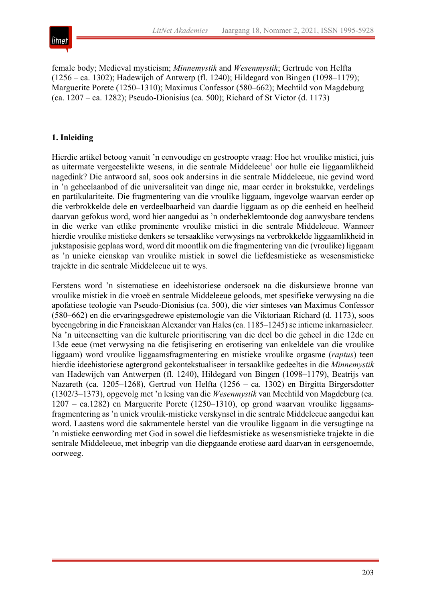

female body; Medieval mysticism; *Minnemystik* and *Wesenmystik*; Gertrude von Helfta (1256 – ca. 1302); Hadewijch of Antwerp (fl. 1240); Hildegard von Bingen (1098–1179); Marguerite Porete (1250–1310); Maximus Confessor (580–662); Mechtild von Magdeburg (ca. 1207 – ca. 1282); Pseudo-Dionisius (ca. 500); Richard of St Victor (d. 1173)

## **1. Inleiding**

Hierdie artikel betoog vanuit 'n eenvoudige en gestroopte vraag: Hoe het vroulike mistici, juis as uitermate vergeestelikte wesens, in die sentrale Middeleeue<sup>1</sup> oor hulle eie liggaamlikheid nagedink? Die antwoord sal, soos ook andersins in die sentrale Middeleeue, nie gevind word in 'n geheelaanbod of die universaliteit van dinge nie, maar eerder in brokstukke, verdelings en partikulariteite. Die fragmentering van die vroulike liggaam, ingevolge waarvan eerder op die verbrokkelde dele en verdeelbaarheid van daardie liggaam as op die eenheid en heelheid daarvan gefokus word, word hier aangedui as 'n onderbeklemtoonde dog aanwysbare tendens in die werke van etlike prominente vroulike mistici in die sentrale Middeleeue. Wanneer hierdie vroulike mistieke denkers se tersaaklike verwysings na verbrokkelde liggaamlikheid in jukstaposisie geplaas word, word dit moontlik om die fragmentering van die (vroulike) liggaam as 'n unieke eienskap van vroulike mistiek in sowel die liefdesmistieke as wesensmistieke trajekte in die sentrale Middeleeue uit te wys.

Eerstens word 'n sistematiese en ideehistoriese ondersoek na die diskursiewe bronne van vroulike mistiek in die vroeë en sentrale Middeleeue geloods, met spesifieke verwysing na die apofatiese teologie van Pseudo-Dionisius (ca. 500), die vier sinteses van Maximus Confessor (580–662) en die ervaringsgedrewe epistemologie van die Viktoriaan Richard (d. 1173), soos byeengebring in die Franciskaan Alexander van Hales (ca. 1185–1245) se intieme inkarnasieleer. Na 'n uiteensetting van die kulturele prioritisering van die deel bo die geheel in die 12de en 13de eeue (met verwysing na die fetisjisering en erotisering van enkeldele van die vroulike liggaam) word vroulike liggaamsfragmentering en mistieke vroulike orgasme (*raptus*) teen hierdie ideehistoriese agtergrond gekontekstualiseer in tersaaklike gedeeltes in die *Minnemystik* van Hadewijch van Antwerpen (fl. 1240), Hildegard von Bingen (1098–1179), Beatrijs van Nazareth (ca. 1205–1268), Gertrud von Helfta (1256 – ca. 1302) en Birgitta Birgersdotter (1302/3–1373), opgevolg met 'n lesing van die *Wesenmystik* van Mechtild von Magdeburg (ca. 1207 – ca.1282) en Marguerite Porete (1250–1310), op grond waarvan vroulike liggaamsfragmentering as 'n uniek vroulik-mistieke verskynsel in die sentrale Middeleeue aangedui kan word. Laastens word die sakramentele herstel van die vroulike liggaam in die versugtinge na 'n mistieke eenwording met God in sowel die liefdesmistieke as wesensmistieke trajekte in die sentrale Middeleeue, met inbegrip van die diepgaande erotiese aard daarvan in eersgenoemde, oorweeg.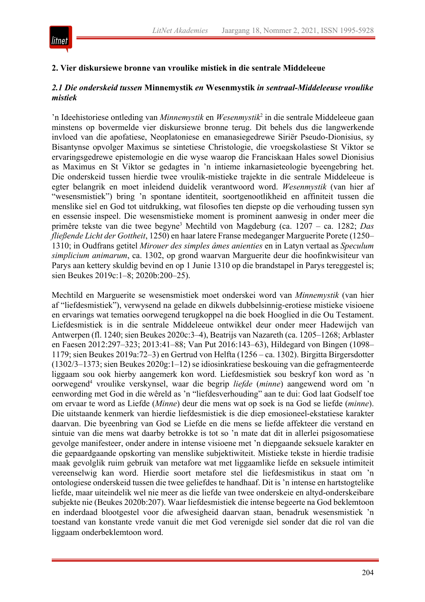

## **2. Vier diskursiewe bronne van vroulike mistiek in die sentrale Middeleeue**

## *2.1 Die onderskeid tussen* **Minnemystik** *en* **Wesenmystik** *in sentraal-Middeleeuse vroulike mistiek*

'n Ideehistoriese ontleding van *Minnemystik* en *Wesenmystik*<sup>2</sup> in die sentrale Middeleeue gaan minstens op bovermelde vier diskursiewe bronne terug. Dit behels dus die langwerkende invloed van die apofatiese, Neoplatoniese en emanasiegedrewe Siriër Pseudo-Dionisius, sy Bisantynse opvolger Maximus se sintetiese Christologie, die vroegskolastiese St Viktor se ervaringsgedrewe epistemologie en die wyse waarop die Franciskaan Hales sowel Dionisius as Maximus en St Viktor se gedagtes in 'n intieme inkarnasieteologie byeengebring het. Die onderskeid tussen hierdie twee vroulik-mistieke trajekte in die sentrale Middeleeue is egter belangrik en moet inleidend duidelik verantwoord word. *Wesenmystik* (van hier af "wesensmistiek") bring 'n spontane identiteit, soortgenootlikheid en affiniteit tussen die menslike siel en God tot uitdrukking, wat filosofies ten diepste op die verhouding tussen syn en essensie inspeel. Die wesensmistieke moment is prominent aanwesig in onder meer die primêre tekste van die twee begyne3 Mechtild von Magdeburg (ca. 1207 – ca. 1282; *Das fließende Licht der Gottheit*, 1250) en haar latere Franse medeganger Marguerite Porete (1250– 1310; in Oudfrans getitel *Mirouer des simples âmes anienties* en in Latyn vertaal as *Speculum simplicium animarum*, ca. 1302, op grond waarvan Marguerite deur die hoofinkwisiteur van Parys aan kettery skuldig bevind en op 1 Junie 1310 op die brandstapel in Parys tereggestel is; sien Beukes 2019c:1–8; 2020b:200–25).

Mechtild en Marguerite se wesensmistiek moet onderskei word van *Minnemystik* (van hier af "liefdesmistiek"), verwysend na gelade en dikwels dubbelsinnig-erotiese mistieke visioene en ervarings wat tematies oorwegend terugkoppel na die boek Hooglied in die Ou Testament. Liefdesmistiek is in die sentrale Middeleeue ontwikkel deur onder meer Hadewijch van Antwerpen (fl. 1240; sien Beukes 2020c:3–4), Beatrijs van Nazareth (ca. 1205–1268; Arblaster en Faesen 2012:297–323; 2013:41–88; Van Put 2016:143–63), Hildegard von Bingen (1098– 1179; sien Beukes 2019a:72–3) en Gertrud von Helfta (1256 – ca. 1302). Birgitta Birgersdotter (1302/3–1373; sien Beukes 2020g:1–12) se idiosinkratiese beskouing van die gefragmenteerde liggaam sou ook hierby aangemerk kon word. Liefdesmistiek sou beskryf kon word as 'n oorwegend4 vroulike verskynsel, waar die begrip *liefde* (*minne*) aangewend word om 'n eenwording met God in die wêreld as 'n "liefdesverhouding" aan te dui: God laat Godself toe om ervaar te word as Liefde (*Minne*) deur die mens wat op soek is na God se liefde (*minne*). Die uitstaande kenmerk van hierdie liefdesmistiek is die diep emosioneel-ekstatiese karakter daarvan. Die byeenbring van God se Liefde en die mens se liefde affekteer die verstand en sintuie van die mens wat daarby betrokke is tot so 'n mate dat dit in allerlei psigosomatiese gevolge manifesteer, onder andere in intense visioene met 'n diepgaande seksuele karakter en die gepaardgaande opskorting van menslike subjektiwiteit. Mistieke tekste in hierdie tradisie maak gevolglik ruim gebruik van metafore wat met liggaamlike liefde en seksuele intimiteit vereenselwig kan word. Hierdie soort metafore stel die liefdesmistikus in staat om 'n ontologiese onderskeid tussen die twee geliefdes te handhaaf. Dit is 'n intense en hartstogtelike liefde, maar uiteindelik wel nie meer as die liefde van twee onderskeie en altyd-onderskeibare subjekte nie (Beukes 2020b:207). Waar liefdesmistiek die intense begeerte na God beklemtoon en inderdaad blootgestel voor die afwesigheid daarvan staan, benadruk wesensmistiek 'n toestand van konstante vrede vanuit die met God verenigde siel sonder dat die rol van die liggaam onderbeklemtoon word.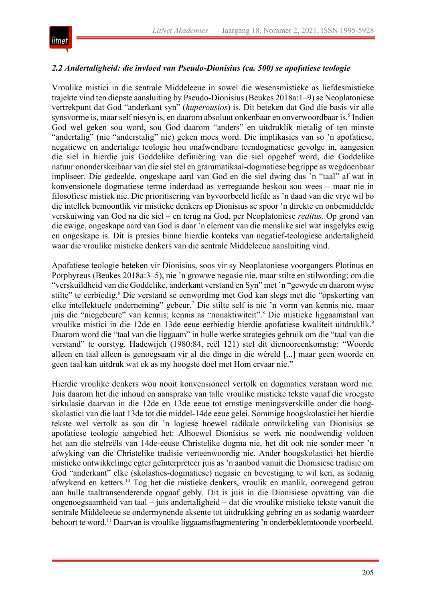## *2.2 Andertaligheid: die invloed van Pseudo-Dionisius (ca. 500) se apofatiese teologie*

Vroulike mistici in die sentrale Middeleeue in sowel die wesensmistieke as liefdesmistieke trajekte vind ten diepste aansluiting by Pseudo-Dionisius (Beukes 2018a: 1–9) se Neoplatoniese vertrekpunt dat God "anderkant syn" (*huperousios*) is. Dit beteken dat God die basis vir alle synsvorme is, maar self niesyn is, en daarom absoluut onkenbaar en onverwoordbaar is.<sup>5</sup> Indien God wel geken sou word, sou God daarom "anders" en uitdruklik nietalig of ten minste "andertalig" (nie "anderstalig" nie) geken moes word. Die implikasies van so 'n apofatiese, negatiewe en andertalige teologie hou onafwendbare teendogmatiese gevolge in, aangesien die siel in hierdie juis Goddelike definiëring van die siel opgehef word, die Goddelike natuur ononderskeibaar van die siel stel en grammatikaal-dogmatiese begrippe as wegdoenbaar impliseer. Die gedeelde, ongeskape aard van God en die siel dwing dus 'n "taal" af wat in konvensionele dogmatiese terme inderdaad as verregaande beskou sou wees – maar nie in filosofiese mistiek nie. Die prioritisering van byvoorbeeld liefde as 'n daad van die vrye wil bo die intellek bemoontlik vir mistieke denkers op Dionisius se spoor 'n direkte en onbemiddelde verskuiwing van God na die siel – en terug na God, per Neoplatoniese *reditus*. Op grond van die ewige, ongeskape aard van God is daar 'n element van die menslike siel wat insgelyks ewig en ongeskape is. Dit is presies binne hierdie konteks van negatief-teologiese andertaligheid waar die vroulike mistieke denkers van die sentrale Middeleeue aansluiting vind.

Apofatiese teologie beteken vir Dionisius, soos vir sy Neoplatoniese voorgangers Plotinus en Porphyreus (Beukes 2018a:3–5), nie 'n growwe negasie nie, maar stilte en stilwording; om die "verskuildheid van die Goddelike, anderkant verstand en Syn" met 'n "gewyde en daarom wyse stilte" te eerbiedig.<sup>6</sup> Die verstand se eenwording met God kan slegs met die "opskorting van elke intellektuele onderneming" gebeur.<sup>7</sup> Die stilte self is nie 'n vorm van kennis nie, maar juis die "niegebeure" van kennis; kennis as "nonaktiwiteit".8 Die mistieke liggaamstaal van vroulike mistici in die 12de en 13de eeue eerbiedig hierdie apofatiese kwaliteit uitdruklik.9 Daarom word die "taal van die liggaam" in hulle werke strategies gebruik om die "taal van die verstand" te oorstyg. Hadewijch (1980:84, reël 121) stel dit dienooreenkomstig: "Woorde alleen en taal alleen is genoegsaam vir al die dinge in die wêreld [...] maar geen woorde en geen taal kan uitdruk wat ek as my hoogste doel met Hom ervaar nie."

Hierdie vroulike denkers wou nooit konvensioneel vertolk en dogmaties verstaan word nie. Juis daarom het die inhoud en aansprake van talle vroulike mistieke tekste vanaf die vroegste sirkulasie daarvan in die 12de en 13de eeue tot ernstige meningsverskille onder die hoogskolastici van die laat 13de tot die middel-14de eeue gelei. Sommige hoogskolastici het hierdie tekste wel vertolk as sou dit 'n logiese hoewel radikale ontwikkeling van Dionisius se apofatiese teologie aangebied het: Alhoewel Dionisius se werk nie noodwendig voldoen het aan die stelreëls van 14de-eeuse Christelike dogma nie, het dit ook nie sonder meer 'n afwyking van die Christelike tradisie verteenwoordig nie. Ander hoogskolastici het hierdie mistieke ontwikkelinge egter geïnterpreteer juis as 'n aanbod vanuit die Dionisiese tradisie om God "anderkant" elke (skolasties-dogmatiese) negasie en bevestiging te wil ken, as sodanig afwykend en ketters.10 Tog het die mistieke denkers, vroulik en manlik, oorwegend getrou aan hulle taaltransenderende opgaaf gebly. Dit is juis in die Dionisiese opvatting van die ongenoegsaamheid van taal – juis andertaligheid – dat die vroulike mistieke tekste vanuit die sentrale Middeleeue se ondermynende aksente tot uitdrukking gebring en as sodanig waardeer behoort te word.11 Daarvan is vroulike liggaamsfragmentering 'n onderbeklemtoonde voorbeeld.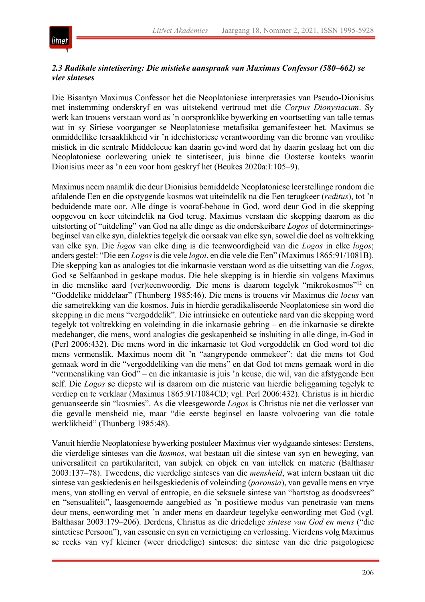

## *2.3 Radikale sintetisering: Die mistieke aanspraak van Maximus Confessor (580–662) se vier sinteses*

Die Bisantyn Maximus Confessor het die Neoplatoniese interpretasies van Pseudo-Dionisius met instemming onderskryf en was uitstekend vertroud met die *Corpus Dionysiacum*. Sy werk kan trouens verstaan word as 'n oorspronklike bywerking en voortsetting van talle temas wat in sy Siriese voorganger se Neoplatoniese metafisika gemanifesteer het. Maximus se onmiddellike tersaaklikheid vir 'n ideehistoriese verantwoording van die bronne van vroulike mistiek in die sentrale Middeleeue kan daarin gevind word dat hy daarin geslaag het om die Neoplatoniese oorlewering uniek te sintetiseer, juis binne die Oosterse konteks waarin Dionisius meer as 'n eeu voor hom geskryf het (Beukes 2020a:I:105–9).

Maximus neem naamlik die deur Dionisius bemiddelde Neoplatoniese leerstellinge rondom die afdalende Een en die opstygende kosmos wat uiteindelik na die Een terugkeer (*reditus*), tot 'n beduidende mate oor. Alle dinge is vooraf-behoue in God, word deur God in die skepping oopgevou en keer uiteindelik na God terug. Maximus verstaan die skepping daarom as die uitstorting of "uitdeling" van God na alle dinge as die onderskeibare *Logos* of determineringsbeginsel van elke syn, dialekties tegelyk die oorsaak van elke syn, sowel die doel as voltrekking van elke syn. Die *logos* van elke ding is die teenwoordigheid van die *Logos* in elke *logos*; anders gestel: "Die een *Logos*is die vele *logoi*, en die vele die Een" (Maximus 1865:91/1081B). Die skepping kan as analogies tot die inkarnasie verstaan word as die uitsetting van die *Logos*, God se Selfaanbod in geskape modus. Die hele skepping is in hierdie sin volgens Maximus in die menslike aard (ver)teenwoordig. Die mens is daarom tegelyk "mikrokosmos"12 en "Goddelike middelaar" (Thunberg 1985:46). Die mens is trouens vir Maximus die *locus* van die sametrekking van die kosmos. Juis in hierdie geradikaliseerde Neoplatoniese sin word die skepping in die mens "vergoddelik". Die intrinsieke en outentieke aard van die skepping word tegelyk tot voltrekking en voleinding in die inkarnasie gebring – en die inkarnasie se direkte medehanger, die mens, word analogies die geskapenheid se insluiting in alle dinge, in-God in (Perl 2006:432). Die mens word in die inkarnasie tot God vergoddelik en God word tot die mens vermenslik. Maximus noem dit 'n "aangrypende ommekeer": dat die mens tot God gemaak word in die "vergoddeliking van die mens" en dat God tot mens gemaak word in die "vermensliking van God" – en die inkarnasie is juis 'n keuse, die wil, van die afstygende Een self. Die *Logos* se diepste wil is daarom om die misterie van hierdie beliggaming tegelyk te verdiep en te verklaar (Maximus 1865:91/1084CD; vgl. Perl 2006:432). Christus is in hierdie genuanseerde sin "kosmies". As die vleesgeworde *Logos* is Christus nie net die verlosser van die gevalle mensheid nie, maar "die eerste beginsel en laaste volvoering van die totale werklikheid" (Thunberg 1985:48).

Vanuit hierdie Neoplatoniese bywerking postuleer Maximus vier wydgaande sinteses: Eerstens, die vierdelige sinteses van die *kosmos*, wat bestaan uit die sintese van syn en beweging, van universaliteit en partikulariteit, van subjek en objek en van intellek en materie (Balthasar 2003:137–78). Tweedens, die vierdelige sinteses van die *mensheid*, wat intern bestaan uit die sintese van geskiedenis en heilsgeskiedenis of voleinding (*parousia*), van gevalle mens en vrye mens, van stolling en verval of entropie, en die seksuele sintese van "hartstog as doodsvrees" en "sensualiteit", laasgenoemde aangebied as 'n positiewe modus van penetrasie van mens deur mens, eenwording met 'n ander mens en daardeur tegelyke eenwording met God (vgl. Balthasar 2003:179–206). Derdens, Christus as die driedelige *sintese van God en mens* ("die sintetiese Persoon"), van essensie en syn en vernietiging en verlossing. Vierdens volg Maximus se reeks van vyf kleiner (weer driedelige) sinteses: die sintese van die drie psigologiese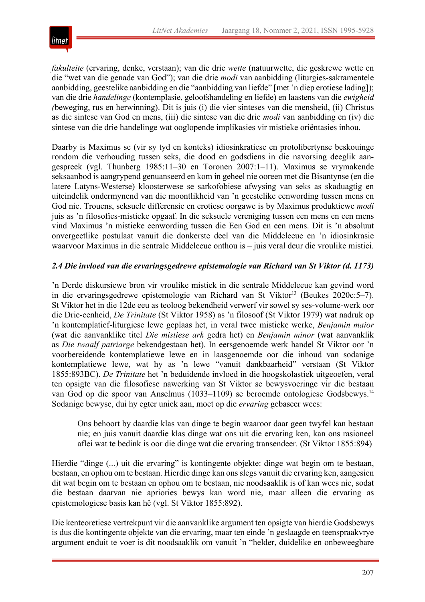

*fakulteite* (ervaring, denke, verstaan); van die drie *wette* (natuurwette, die geskrewe wette en die "wet van die genade van God"); van die drie *modi* van aanbidding (liturgies-sakramentele aanbidding, geestelike aanbidding en die "aanbidding van liefde" [met 'n diep erotiese lading]); van die drie *handelinge* (kontemplasie, geloofshandeling en liefde) en laastens van die *ewigheid (*beweging, rus en herwinning). Dit is juis (i) die vier sinteses van die mensheid, (ii) Christus as die sintese van God en mens, (iii) die sintese van die drie *modi* van aanbidding en (iv) die sintese van die drie handelinge wat ooglopende implikasies vir mistieke oriëntasies inhou.

Daarby is Maximus se (vir sy tyd en konteks) idiosinkratiese en protolibertynse beskouinge rondom die verhouding tussen seks, die dood en godsdiens in die navorsing deeglik aangespreek (vgl. Thunberg 1985:11–30 en Toronen 2007:1–11). Maximus se vrymakende seksaanbod is aangrypend genuanseerd en kom in geheel nie ooreen met die Bisantynse (en die latere Latyns-Westerse) kloosterwese se sarkofobiese afwysing van seks as skaduagtig en uiteindelik ondermynend van die moontlikheid van 'n geestelike eenwording tussen mens en God nie. Trouens, seksuele differensie en erotiese oorgawe is by Maximus produktiewe *modi* juis as 'n filosofies-mistieke opgaaf. In die seksuele vereniging tussen een mens en een mens vind Maximus 'n mistieke eenwording tussen die Een God en een mens. Dit is 'n absoluut onvergeetlike postulaat vanuit die donkerste deel van die Middeleeue en 'n idiosinkrasie waarvoor Maximus in die sentrale Middeleeue onthou is – juis veral deur die vroulike mistici.

## *2.4 Die invloed van die ervaringsgedrewe epistemologie van Richard van St Viktor (d. 1173)*

'n Derde diskursiewe bron vir vroulike mistiek in die sentrale Middeleeue kan gevind word in die ervaringsgedrewe epistemologie van Richard van St Viktor<sup>13</sup> (Beukes 2020c:5–7). St Viktor het in die 12de eeu as teoloog bekendheid verwerf vir sowel sy ses-volume-werk oor die Drie-eenheid, *De Trinitate* (St Viktor 1958) as 'n filosoof (St Viktor 1979) wat nadruk op 'n kontemplatief-liturgiese lewe geplaas het, in veral twee mistieke werke, *Benjamin maior* (wat die aanvanklike titel *Die mistiese ark* gedra het) en *Benjamin minor* (wat aanvanklik as *Die twaalf patriarge* bekendgestaan het). In eersgenoemde werk handel St Viktor oor 'n voorbereidende kontemplatiewe lewe en in laasgenoemde oor die inhoud van sodanige kontemplatiewe lewe, wat hy as 'n lewe "vanuit dankbaarheid" verstaan (St Viktor 1855:893BC). *De Trinitate* het 'n beduidende invloed in die hoogskolastiek uitgeoefen, veral ten opsigte van die filosofiese nawerking van St Viktor se bewysvoeringe vir die bestaan van God op die spoor van Anselmus (1033–1109) se beroemde ontologiese Godsbewys.14 Sodanige bewyse, dui hy egter uniek aan, moet op die *ervaring* gebaseer wees:

Ons behoort by daardie klas van dinge te begin waaroor daar geen twyfel kan bestaan nie; en juis vanuit daardie klas dinge wat ons uit die ervaring ken, kan ons rasioneel aflei wat te bedink is oor die dinge wat die ervaring transendeer. (St Viktor 1855:894)

Hierdie "dinge (...) uit die ervaring" is kontingente objekte: dinge wat begin om te bestaan, bestaan, en ophou om te bestaan. Hierdie dinge kan onsslegs vanuit die ervaring ken, aangesien dit wat begin om te bestaan en ophou om te bestaan, nie noodsaaklik is of kan wees nie, sodat die bestaan daarvan nie apriories bewys kan word nie, maar alleen die ervaring as epistemologiese basis kan hê (vgl. St Viktor 1855:892).

Die kenteoretiese vertrekpunt vir die aanvanklike argument ten opsigte van hierdie Godsbewys is dus die kontingente objekte van die ervaring, maar ten einde 'n geslaagde en teenspraakvrye argument enduit te voer is dit noodsaaklik om vanuit 'n "helder, duidelike en onbeweegbare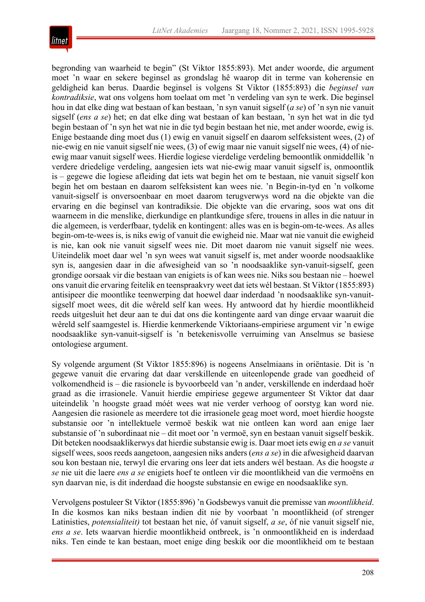

begronding van waarheid te begin" (St Viktor 1855:893). Met ander woorde, die argument moet 'n waar en sekere beginsel as grondslag hê waarop dit in terme van koherensie en geldigheid kan berus. Daardie beginsel is volgens St Viktor (1855:893) die *beginsel van kontradiksie*, wat ons volgens hom toelaat om met 'n verdeling van syn te werk. Die beginsel hou in dat elke ding wat bestaan of kan bestaan, 'n syn vanuit sigself (*a se*) of 'n syn nie vanuit sigself (*ens a se*) het; en dat elke ding wat bestaan of kan bestaan, 'n syn het wat in die tyd begin bestaan of 'n syn het wat nie in die tyd begin bestaan het nie, met ander woorde, ewig is. Enige bestaande ding moet dus (1) ewig en vanuit sigself en daarom selfeksistent wees, (2) of nie-ewig en nie vanuit sigself nie wees, (3) of ewig maar nie vanuit sigself nie wees, (4) of nieewig maar vanuit sigself wees. Hierdie logiese vierdelige verdeling bemoontlik onmiddellik 'n verdere driedelige verdeling, aangesien iets wat nie-ewig maar vanuit sigself is, onmoontlik is – gegewe die logiese afleiding dat iets wat begin het om te bestaan, nie vanuit sigself kon begin het om bestaan en daarom selfeksistent kan wees nie. 'n Begin-in-tyd en 'n volkome vanuit-sigself is onversoenbaar en moet daarom terugverwys word na die objekte van die ervaring en die beginsel van kontradiksie. Die objekte van die ervaring, soos wat ons dit waarneem in die menslike, dierkundige en plantkundige sfere, trouens in alles in die natuur in die algemeen, is verderfbaar, tydelik en kontingent: alles was en is begin-om-te-wees. As alles begin-om-te-wees is, is niks ewig of vanuit die ewigheid nie. Maar wat nie vanuit die ewigheid is nie, kan ook nie vanuit sigself wees nie. Dit moet daarom nie vanuit sigself nie wees. Uiteindelik moet daar wel 'n syn wees wat vanuit sigself is, met ander woorde noodsaaklike syn is, aangesien daar in die afwesigheid van so 'n noodsaaklike syn-vanuit-sigself, geen grondige oorsaak vir die bestaan van enigiets is of kan wees nie. Niks sou bestaan nie – hoewel ons vanuit die ervaring feitelik en teenspraakvry weet dat iets wél bestaan. St Viktor (1855:893) antisipeer die moontlike teenwerping dat hoewel daar inderdaad 'n noodsaaklike syn-vanuitsigself moet wees, dit die wêreld self kan wees. Hy antwoord dat hy hierdie moontlikheid reeds uitgesluit het deur aan te dui dat ons die kontingente aard van dinge ervaar waaruit die wêreld self saamgestel is. Hierdie kenmerkende Viktoriaans-empiriese argument vir 'n ewige noodsaaklike syn-vanuit-sigself is 'n betekenisvolle verruiming van Anselmus se basiese ontologiese argument.

Sy volgende argument (St Viktor 1855:896) is nogeens Anselmiaans in oriëntasie. Dit is 'n gegewe vanuit die ervaring dat daar verskillende en uiteenlopende grade van goedheid of volkomendheid is – die rasionele is byvoorbeeld van 'n ander, verskillende en inderdaad hoër graad as die irrasionele. Vanuit hierdie empiriese gegewe argumenteer St Viktor dat daar uiteindelik 'n hoogste graad móét wees wat nie verder verhoog of oorstyg kan word nie. Aangesien die rasionele as meerdere tot die irrasionele geag moet word, moet hierdie hoogste substansie oor 'n intellektuele vermoë beskik wat nie ontleen kan word aan enige laer substansie of 'n subordinaat nie – dit moet oor 'n vermoë, syn en bestaan vanuit sigself beskik. Dit beteken noodsaaklikerwys dat hierdie substansie ewig is. Daar moet iets ewig en *a se* vanuit sigself wees, soos reeds aangetoon, aangesien niks anders (*ens a se*) in die afwesigheid daarvan sou kon bestaan nie, terwyl die ervaring ons leer dat iets anders wél bestaan. As die hoogste *a se* nie uit die laere *ens a se* enigiets hoef te ontleen vir die moontlikheid van die vermoëns en syn daarvan nie, is dit inderdaad die hoogste substansie en ewige en noodsaaklike syn.

Vervolgens postuleer St Viktor (1855:896) 'n Godsbewys vanuit die premisse van *moontlikheid*. In die kosmos kan niks bestaan indien dit nie by voorbaat 'n moontlikheid (of strenger Latinisties, *potensialiteit)* tot bestaan het nie, óf vanuit sigself, *a se*, óf nie vanuit sigself nie, *ens a se*. Iets waarvan hierdie moontlikheid ontbreek, is 'n onmoontlikheid en is inderdaad niks. Ten einde te kan bestaan, moet enige ding beskik oor die moontlikheid om te bestaan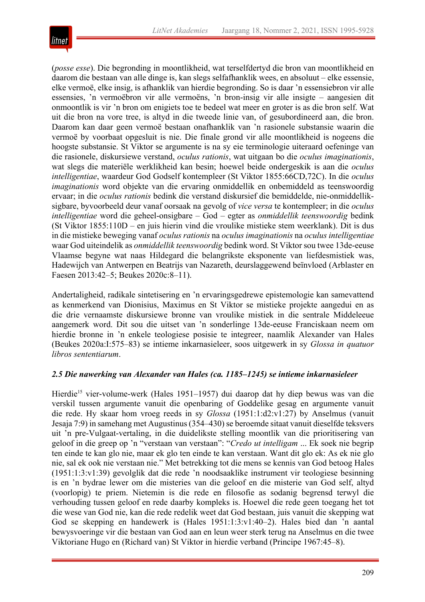

(*posse esse*). Die begronding in moontlikheid, wat terselfdertyd die bron van moontlikheid en daarom die bestaan van alle dinge is, kan slegs selfafhanklik wees, en absoluut – elke essensie, elke vermoë, elke insig, is afhanklik van hierdie begronding. So is daar 'n essensiebron vir alle essensies, 'n vermoëbron vir alle vermoëns, 'n bron-insig vir alle insigte – aangesien dit onmoontlik is vir 'n bron om enigiets toe te bedeel wat meer en groter is as die bron self. Wat uit die bron na vore tree, is altyd in die tweede linie van, of gesubordineerd aan, die bron. Daarom kan daar geen vermoë bestaan onafhanklik van 'n rasionele substansie waarin die vermoë by voorbaat opgesluit is nie. Die finale grond vir alle moontlikheid is nogeens die hoogste substansie. St Viktor se argumente is na sy eie terminologie uiteraard oefeninge van die rasionele, diskursiewe verstand, *oculus rationis*, wat uitgaan bo die *oculus imaginationis*, wat slegs die materiële werklikheid kan besin; hoewel beide ondergeskik is aan die *oculus intelligentiae*, waardeur God Godself kontempleer (St Viktor 1855:66CD,72C). In die *oculus imaginationis* word objekte van die ervaring onmiddellik en onbemiddeld as teenswoordig ervaar; in die *oculus rationis* bedink die verstand diskursief die bemiddelde, nie-onmiddelliksigbare, byvoorbeeld deur vanaf oorsaak na gevolg of *vice versa* te kontempleer; in die *oculus intelligentiae* word die geheel-onsigbare – God – egter as *onmiddellik teenswoordig* bedink (St Viktor 1855:110D – en juis hierin vind die vroulike mistieke stem weerklank). Dit is dus in die mistieke beweging vanaf *oculus rationis* na *oculus imaginationis* na *oculus intelligentiae* waar God uiteindelik as *onmiddellik teenswoordig* bedink word. St Viktor sou twee 13de-eeuse Vlaamse begyne wat naas Hildegard die belangrikste eksponente van liefdesmistiek was, Hadewijch van Antwerpen en Beatrijs van Nazareth, deurslaggewend beïnvloed (Arblaster en Faesen 2013:42–5; Beukes 2020c:8–11).

Andertaligheid, radikale sintetisering en 'n ervaringsgedrewe epistemologie kan samevattend as kenmerkend van Dionisius, Maximus en St Viktor se mistieke projekte aangedui en as die drie vernaamste diskursiewe bronne van vroulike mistiek in die sentrale Middeleeue aangemerk word. Dit sou die uitset van 'n sonderlinge 13de-eeuse Franciskaan neem om hierdie bronne in 'n enkele teologiese posisie te integreer, naamlik Alexander van Hales (Beukes 2020a:I:575–83) se intieme inkarnasieleer, soos uitgewerk in sy *Glossa in quatuor libros sententiarum*.

## *2.5 Die nawerking van Alexander van Hales (ca. 1185–1245) se intieme inkarnasieleer*

Hierdie<sup>15</sup> vier-volume-werk (Hales 1951–1957) dui daarop dat hy diep bewus was van die verskil tussen argumente vanuit die openbaring of Goddelike gesag en argumente vanuit die rede. Hy skaar hom vroeg reeds in sy *Glossa* (1951:1:d2:v1:27) by Anselmus (vanuit Jesaja 7:9) in samehang met Augustinus (354–430) se beroemde sitaat vanuit dieselfde teksvers uit 'n pre-Vulgaat-vertaling, in die duidelikste stelling moontlik van die prioritisering van geloof in die greep op 'n "verstaan van verstaan": "*Credo ut intelligam* ... Ek soek nie begrip ten einde te kan glo nie, maar ek glo ten einde te kan verstaan. Want dit glo ek: As ek nie glo nie, sal ek ook nie verstaan nie." Met betrekking tot die mens se kennis van God betoog Hales (1951:1:3:v1:39) gevolglik dat die rede 'n noodsaaklike instrument vir teologiese besinning is en 'n bydrae lewer om die misteries van die geloof en die misterie van God self, altyd (voorlopig) te priem. Nietemin is die rede en filosofie as sodanig begrensd terwyl die verhouding tussen geloof en rede daarby kompleks is. Hoewel die rede geen toegang het tot die wese van God nie, kan die rede redelik weet dat God bestaan, juis vanuit die skepping wat God se skepping en handewerk is (Hales 1951:1:3:v1:40–2). Hales bied dan 'n aantal bewysvoeringe vir die bestaan van God aan en leun weer sterk terug na Anselmus en die twee Viktoriane Hugo en (Richard van) St Viktor in hierdie verband (Principe 1967:45–8).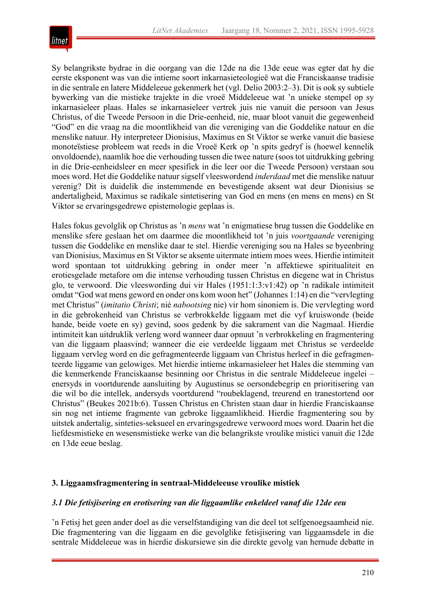

Sy belangrikste bydrae in die oorgang van die 12de na die 13de eeue was egter dat hy die eerste eksponent was van die intieme soort inkarnasieteologieë wat die Franciskaanse tradisie in die sentrale en latere Middeleeue gekenmerk het (vgl. Delio 2003:2–3). Dit is ook sy subtiele bywerking van die mistieke trajekte in die vroeë Middeleeue wat 'n unieke stempel op sy inkarnasieleer plaas. Hales se inkarnasieleer vertrek juis nie vanuit die persoon van Jesus Christus, of die Tweede Persoon in die Drie-eenheid, nie, maar bloot vanuit die gegewenheid "God" en die vraag na die moontlikheid van die vereniging van die Goddelike natuur en die menslike natuur. Hy interpreteer Dionisius, Maximus en St Viktor se werke vanuit die basiese monoteïstiese probleem wat reeds in die Vroeë Kerk op 'n spits gedryf is (hoewel kennelik onvoldoende), naamlik hoe die verhouding tussen die twee nature (soos tot uitdrukking gebring in die Drie-eenheidsleer en meer spesifiek in die leer oor die Tweede Persoon) verstaan sou moes word. Het die Goddelike natuur sigself vleeswordend *inderdaad* met die menslike natuur verenig? Dit is duidelik die instemmende en bevestigende aksent wat deur Dionisius se andertaligheid, Maximus se radikale sintetisering van God en mens (en mens en mens) en St Viktor se ervaringsgedrewe epistemologie geplaas is.

Hales fokus gevolglik op Christus as 'n *mens* wat 'n enigmatiese brug tussen die Goddelike en menslike sfere geslaan het om daarmee die moontlikheid tot 'n juis *voortgaande* vereniging tussen die Goddelike en menslike daar te stel. Hierdie vereniging sou na Hales se byeenbring van Dionisius, Maximus en St Viktor se aksente uitermate intiem moes wees. Hierdie intimiteit word spontaan tot uitdrukking gebring in onder meer 'n affektiewe spiritualiteit en erotiesgelade metafore om die intense verhouding tussen Christus en diegene wat in Christus glo, te verwoord. Die vleeswording dui vir Hales (1951:1:3:v1:42) op 'n radikale intimiteit omdat "God wat mens geword en onder ons kom woon het" (Johannes 1:14) en die "vervlegting met Christus" (*imitatio Christi*; nié *nabootsing* nie) vir hom sinoniem is. Die vervlegting word in die gebrokenheid van Christus se verbrokkelde liggaam met die vyf kruiswonde (beide hande, beide voete en sy) gevind, soos gedenk by die sakrament van die Nagmaal. Hierdie intimiteit kan uitdruklik verleng word wanneer daar opnuut 'n verbrokkeling en fragmentering van die liggaam plaasvind; wanneer die eie verdeelde liggaam met Christus se verdeelde liggaam vervleg word en die gefragmenteerde liggaam van Christus herleef in die gefragmenteerde liggame van gelowiges. Met hierdie intieme inkarnasieleer het Hales die stemming van die kenmerkende Franciskaanse besinning oor Christus in die sentrale Middeleeue ingelei – enersyds in voortdurende aansluiting by Augustinus se oersondebegrip en prioritisering van die wil bo die intellek, andersyds voortdurend "roubeklagend, treurend en tranestortend oor Christus" (Beukes 2021b:6). Tussen Christus en Christen staan daar in hierdie Franciskaanse sin nog net intieme fragmente van gebroke liggaamlikheid. Hierdie fragmentering sou by uitstek andertalig, sinteties-seksueel en ervaringsgedrewe verwoord moes word. Daarin het die liefdesmistieke en wesensmistieke werke van die belangrikste vroulike mistici vanuit die 12de en 13de eeue beslag.

## **3. Liggaamsfragmentering in sentraal-Middeleeuse vroulike mistiek**

## *3.1 Die fetisjisering en erotisering van die liggaamlike enkeldeel vanaf die 12de eeu*

'n Fetisj het geen ander doel as die verselfstandiging van die deel tot selfgenoegsaamheid nie. Die fragmentering van die liggaam en die gevolglike fetisjisering van liggaamsdele in die sentrale Middeleeue was in hierdie diskursiewe sin die direkte gevolg van hernude debatte in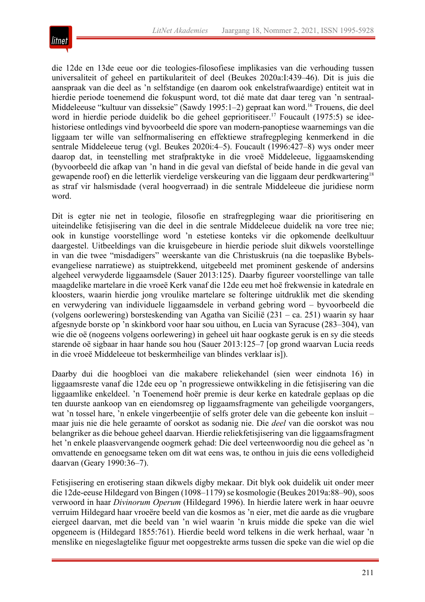

die 12de en 13de eeue oor die teologies-filosofiese implikasies van die verhouding tussen universaliteit of geheel en partikulariteit of deel (Beukes 2020a:I:439–46). Dit is juis die aanspraak van die deel as 'n selfstandige (en daarom ook enkelstrafwaardige) entiteit wat in hierdie periode toenemend die fokuspunt word, tot dié mate dat daar tereg van 'n sentraal-Middeleeuse "kultuur van disseksie" (Sawdy 1995:1–2) gepraat kan word.<sup>16</sup> Trouens, die deel word in hierdie periode duidelik bo die geheel geprioritiseer.<sup>17</sup> Foucault (1975:5) se ideehistoriese ontledings vind byvoorbeeld die spore van modern-panoptiese waarnemings van die liggaam ter wille van selfnormalisering en effektiewe strafregpleging kenmerkend in die sentrale Middeleeue terug (vgl. Beukes 2020i:4–5). Foucault (1996:427–8) wys onder meer daarop dat, in teenstelling met strafpraktyke in die vroeë Middeleeue, liggaamskending (byvoorbeeld die afkap van 'n hand in die geval van diefstal of beide hande in die geval van gewapende roof) en die letterlik vierdelige verskeuring van die liggaam deur perdkwartering<sup>18</sup> as straf vir halsmisdade (veral hoogverraad) in die sentrale Middeleeue die juridiese norm word.

Dit is egter nie net in teologie, filosofie en strafregpleging waar die prioritisering en uiteindelike fetisjisering van die deel in die sentrale Middeleeue duidelik na vore tree nie; ook in kunstige voorstellinge word 'n estetiese konteks vir die opkomende deelkultuur daargestel. Uitbeeldings van die kruisgebeure in hierdie periode sluit dikwels voorstellinge in van die twee "misdadigers" weerskante van die Christuskruis (na die toepaslike Bybelsevangeliese narratiewe) as stuiptrekkend, uitgebeeld met prominent geskende of andersins algeheel verwyderde liggaamsdele (Sauer 2013:125). Daarby figureer voorstellinge van talle maagdelike martelare in die vroeë Kerk vanaf die 12de eeu met hoë frekwensie in katedrale en kloosters, waarin hierdie jong vroulike martelare se folteringe uitdruklik met die skending en verwydering van individuele liggaamsdele in verband gebring word – byvoorbeeld die (volgens oorlewering) borsteskending van Agatha van Sicilië (231 – ca. 251) waarin sy haar afgesnyde borste op 'n skinkbord voor haar sou uithou, en Lucia van Syracuse (283–304), van wie die oë (nogeens volgens oorlewering) in geheel uit haar oogkaste geruk is en sy die steeds starende oë sigbaar in haar hande sou hou (Sauer 2013:125–7 [op grond waarvan Lucia reeds in die vroeë Middeleeue tot beskermheilige van blindes verklaar is]).

Daarby dui die hoogbloei van die makabere reliekehandel (sien weer eindnota 16) in liggaamsreste vanaf die 12de eeu op 'n progressiewe ontwikkeling in die fetisjisering van die liggaamlike enkeldeel. 'n Toenemend hoër premie is deur kerke en katedrale geplaas op die ten duurste aankoop van en eiendomsreg op liggaamsfragmente van geheiligde voorgangers, wat 'n tossel hare, 'n enkele vingerbeentjie of selfs groter dele van die gebeente kon insluit – maar juis nie die hele geraamte of oorskot as sodanig nie. Die *deel* van die oorskot was nou belangriker as die behoue geheel daarvan. Hierdie reliekfetisjisering van die liggaamsfragment het 'n enkele plaasvervangende oogmerk gehad: Die deel verteenwoordig nou die geheel as 'n omvattende en genoegsame teken om dit wat eens was, te onthou in juis die eens volledigheid daarvan (Geary 1990:36–7).

Fetisjisering en erotisering staan dikwels digby mekaar. Dit blyk ook duidelik uit onder meer die 12de-eeuse Hildegard von Bingen (1098–1179) se kosmologie (Beukes 2019a:88–90), soos verwoord in haar *Divinorum Operum* (Hildegard 1996). In hierdie latere werk in haar oeuvre verruim Hildegard haar vroeëre beeld van die kosmos as 'n eier, met die aarde as die vrugbare eiergeel daarvan, met die beeld van 'n wiel waarin 'n kruis midde die speke van die wiel opgeneem is (Hildegard 1855:761). Hierdie beeld word telkens in die werk herhaal, waar 'n menslike en niegeslagtelike figuur met oopgestrekte arms tussen die speke van die wiel op die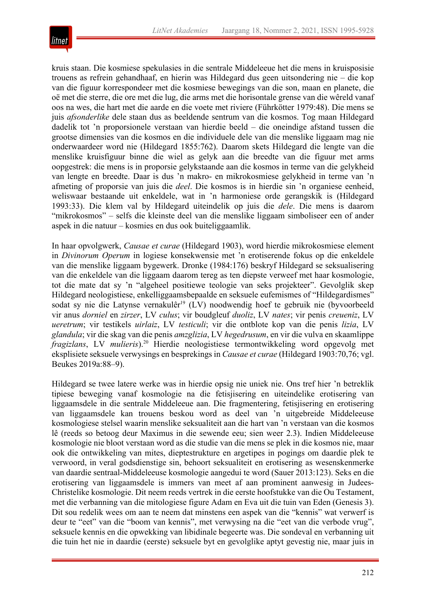

kruis staan. Die kosmiese spekulasies in die sentrale Middeleeue het die mens in kruisposisie trouens as refrein gehandhaaf, en hierin was Hildegard dus geen uitsondering nie – die kop van die figuur korrespondeer met die kosmiese bewegings van die son, maan en planete, die oë met die sterre, die ore met die lug, die arms met die horisontale grense van die wêreld vanaf oos na wes, die hart met die aarde en die voete met riviere (Führkötter 1979:48). Die mens se juis *afsonderlike* dele staan dus as beeldende sentrum van die kosmos. Tog maan Hildegard dadelik tot 'n proporsionele verstaan van hierdie beeld – die oneindige afstand tussen die grootse dimensies van die kosmos en die individuele dele van die menslike liggaam mag nie onderwaardeer word nie (Hildegard 1855:762). Daarom skets Hildegard die lengte van die menslike kruisfiguur binne die wiel as gelyk aan die breedte van die figuur met arms oopgestrek: die mens is in proporsie gelykstaande aan die kosmos in terme van die gelykheid van lengte en breedte. Daar is dus 'n makro- en mikrokosmiese gelykheid in terme van 'n afmeting of proporsie van juis die *deel*. Die kosmos is in hierdie sin 'n organiese eenheid, weliswaar bestaande uit enkeldele, wat in 'n harmoniese orde gerangskik is (Hildegard 1993:33). Die klem val by Hildegard uiteindelik op juis die *dele*. Die mens is daarom "mikrokosmos" – selfs die kleinste deel van die menslike liggaam simboliseer een of ander aspek in die natuur – kosmies en dus ook buiteliggaamlik.

In haar opvolgwerk, *Causae et curae* (Hildegard 1903), word hierdie mikrokosmiese element in *Divinorum Operum* in logiese konsekwensie met 'n erotiserende fokus op die enkeldele van die menslike liggaam bygewerk. Dronke (1984:176) beskryf Hildegard se seksualisering van die enkeldele van die liggaam daarom tereg as ten diepste verweef met haar kosmologie, tot die mate dat sy 'n "algeheel positiewe teologie van seks projekteer". Gevolglik skep Hildegard neologistiese, enkelliggaamsbepaalde en seksuele eufemismes of "Hildegardismes" sodat sy nie die Latynse vernakulêr<sup>19</sup> (LV) noodwendig hoef te gebruik nie (byvoorbeeld vir anus *dorniel* en *zirzer*, LV *culus*; vir boudgleuf *duoliz*, LV *nates*; vir penis *creueniz*, LV *ueretrum*; vir testikels *uirlaiz*, LV *testiculi*; vir die ontblote kop van die penis *lizia*, LV *glandula*; vir die skag van die penis *amzglizia*, LV *hegedrusum*, en vir die vulva en skaamlippe *fragizlans*, LV *mulieris*).20 Hierdie neologistiese termontwikkeling word opgevolg met eksplisiete seksuele verwysings en besprekings in *Causae et curae* (Hildegard 1903:70,76; vgl. Beukes 2019a:88–9).

Hildegard se twee latere werke was in hierdie opsig nie uniek nie. Ons tref hier 'n betreklik tipiese beweging vanaf kosmologie na die fetisjisering en uiteindelike erotisering van liggaamsdele in die sentrale Middeleeue aan. Die fragmentering, fetisjisering en erotisering van liggaamsdele kan trouens beskou word as deel van 'n uitgebreide Middeleeuse kosmologiese stelsel waarin menslike seksualiteit aan die hart van 'n verstaan van die kosmos lê (reeds so betoog deur Maximus in die sewende eeu; sien weer 2.3). Indien Middeleeuse kosmologie nie bloot verstaan word as die studie van die mens se plek in die kosmos nie, maar ook die ontwikkeling van mites, dieptestrukture en argetipes in pogings om daardie plek te verwoord, in veral godsdienstige sin, behoort seksualiteit en erotisering as wesenskenmerke van daardie sentraal-Middeleeuse kosmologie aangedui te word (Sauer 2013:123). Seks en die erotisering van liggaamsdele is immers van meet af aan prominent aanwesig in Judees-Christelike kosmologie. Dit neem reeds vertrek in die eerste hoofstukke van die Ou Testament, met die verbanning van die mitologiese figure Adam en Eva uit die tuin van Eden (Genesis 3). Dit sou redelik wees om aan te neem dat minstens een aspek van die "kennis" wat verwerf is deur te "eet" van die "boom van kennis", met verwysing na die "eet van die verbode vrug", seksuele kennis en die opwekking van libidinale begeerte was. Die sondeval en verbanning uit die tuin het nie in daardie (eerste) seksuele byt en gevolglike aptyt gevestig nie, maar juis in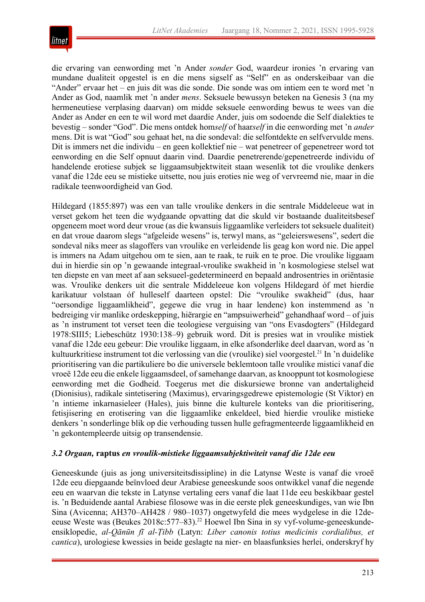

die ervaring van eenwording met 'n Ander *sonder* God, waardeur ironies 'n ervaring van mundane dualiteit opgestel is en die mens sigself as "Self" en as onderskeibaar van die "Ander" ervaar het – en juis dít was die sonde. Die sonde was om intiem een te word met 'n Ander as God, naamlik met 'n ander *mens*. Seksuele bewussyn beteken na Genesis 3 (na my hermeneutiese verplasing daarvan) om midde seksuele eenwording bewus te wees van die Ander as Ander en een te wil word met daardie Ander, juis om sodoende die Self dialekties te bevestig – sonder "God". Die mens ontdek hom*self* of haar*self* in die eenwording met 'n *ander* mens. Dit is wat "God" sou gehaat het, na die sondeval: die selfontdekte en selfvervulde mens. Dit is immers net die individu – en geen kollektief nie – wat penetreer of gepenetreer word tot eenwording en die Self opnuut daarin vind. Daardie penetrerende/gepenetreerde individu of handelende erotiese subjek se liggaamsubjektwiteit staan wesenlik tot die vroulike denkers vanaf die 12de eeu se mistieke uitsette, nou juis eroties nie weg of vervreemd nie, maar in die radikale teenwoordigheid van God.

Hildegard (1855:897) was een van talle vroulike denkers in die sentrale Middeleeue wat in verset gekom het teen die wydgaande opvatting dat die skuld vir bostaande dualiteitsbesef opgeneem moet word deur vroue (as die kwansuis liggaamlike verleiders tot seksuele dualiteit) en dat vroue daarom slegs "afgeleide wesens" is, terwyl mans, as "geleierswesens", sedert die sondeval niks meer as slagoffers van vroulike en verleidende lis geag kon word nie. Die appel is immers na Adam uitgehou om te sien, aan te raak, te ruik en te proe. Die vroulike liggaam dui in hierdie sin op 'n gewaande integraal-vroulike swakheid in 'n kosmologiese stelsel wat ten diepste en van meet af aan seksueel-gedetermineerd en bepaald androsentries in oriëntasie was. Vroulike denkers uit die sentrale Middeleeue kon volgens Hildegard óf met hierdie karikatuur volstaan óf hulleself daarteen opstel: Die "vroulike swakheid" (dus, haar "oersondige liggaamlikheid", gegewe die vrug in haar lendene) kon instemmend as 'n bedreiging vir manlike ordeskepping, hiërargie en "ampsuiwerheid" gehandhaaf word – of juis as 'n instrument tot verset teen die teologiese verguising van "ons Evasdogters" (Hildegard 1978:SIII5; Liebeschütz 1930:138–9) gebruik word. Dit is presies wat in vroulike mistiek vanaf die 12de eeu gebeur: Die vroulike liggaam, in elke afsonderlike deel daarvan, word as 'n kultuurkritiese instrument tot die verlossing van die (vroulike) siel voorgestel.<sup>21</sup> In 'n duidelike prioritisering van die partikuliere bo die universele beklemtoon talle vroulike mistici vanaf die vroeë 12de eeu die enkele liggaamsdeel, ofsamehange daarvan, as knooppunt tot kosmologiese eenwording met die Godheid. Toegerus met die diskursiewe bronne van andertaligheid (Dionisius), radikale sintetisering (Maximus), ervaringsgedrewe epistemologie (St Viktor) en 'n intieme inkarnasieleer (Hales), juis binne die kulturele konteks van die prioritisering, fetisjisering en erotisering van die liggaamlike enkeldeel, bied hierdie vroulike mistieke denkers 'n sonderlinge blik op die verhouding tussen hulle gefragmenteerde liggaamlikheid en 'n gekontempleerde uitsig op transendensie.

## *3.2 Orgaan,* **raptus** *en vroulik-mistieke liggaamsubjektiwiteit vanaf die 12de eeu*

Geneeskunde (juis as jong universiteitsdissipline) in die Latynse Weste is vanaf die vroeë 12de eeu diepgaande beïnvloed deur Arabiese geneeskunde soos ontwikkel vanaf die negende eeu en waarvan die tekste in Latynse vertaling eers vanaf die laat 11de eeu beskikbaar gestel is. 'n Beduidende aantal Arabiese filosowe was in die eerste plek geneeskundiges, van wie Ibn Sina (Avicenna; AH370–AH428 / 980–1037) ongetwyfeld die mees wydgelese in die 12deeeuse Weste was (Beukes 2018c: 577–83).<sup>22</sup> Hoewel Ibn Sina in sy vyf-volume-geneeskundeensiklopedie, *al-Qānūn fī al-Ṭibb* (Latyn: *Liber canonis totius medicinis cordialibus, et cantica*), urologiese kwessies in beide geslagte na nier- en blaasfunksies herlei, onderskryf hy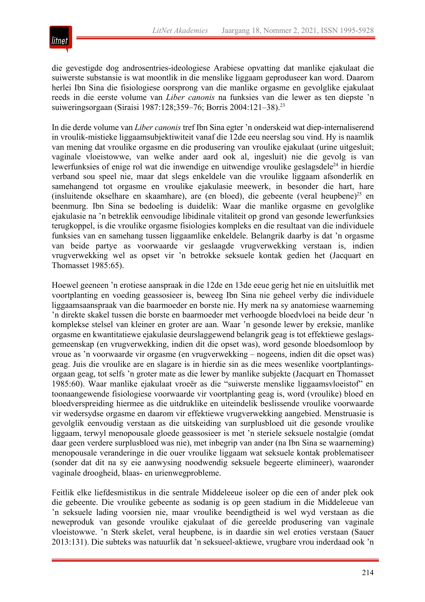

die gevestigde dog androsentries-ideologiese Arabiese opvatting dat manlike ejakulaat die suiwerste substansie is wat moontlik in die menslike liggaam geproduseer kan word. Daarom herlei Ibn Sina die fisiologiese oorsprong van die manlike orgasme en gevolglike ejakulaat reeds in die eerste volume van *Liber canonis* na funksies van die lewer as ten diepste 'n suiweringsorgaan (Siraisi 1987:128;359–76; Borris 2004:121–38).23

In die derde volume van *Liber canonis* tref Ibn Sina egter 'n onderskeid wat diep-internaliserend in vroulik-mistieke liggaamsubjektiwiteit vanaf die 12de eeu neerslag sou vind. Hy is naamlik van mening dat vroulike orgasme en die produsering van vroulike ejakulaat (urine uitgesluit; vaginale vloeistowwe, van welke ander aard ook al, ingesluit) nie die gevolg is van lewerfunksies of enige rol wat die inwendige en uitwendige vroulike geslagsdele<sup>24</sup> in hierdie verband sou speel nie, maar dat slegs enkeldele van die vroulike liggaam afsonderlik en samehangend tot orgasme en vroulike ejakulasie meewerk, in besonder die hart, hare (insluitende okselhare en skaamhare), are (en bloed), die gebeente (veral heupbene)<sup>25</sup> en beenmurg. Ibn Sina se bedoeling is duidelik: Waar die manlike orgasme en gevolglike ejakulasie na 'n betreklik eenvoudige libidinale vitaliteit op grond van gesonde lewerfunksies terugkoppel, is die vroulike orgasme fisiologies kompleks en die resultaat van die individuele funksies van en samehang tussen liggaamlike enkeldele. Belangrik daarby is dat 'n orgasme van beide partye as voorwaarde vir geslaagde vrugverwekking verstaan is, indien vrugverwekking wel as opset vir 'n betrokke seksuele kontak gedien het (Jacquart en Thomasset 1985:65).

Hoewel geeneen 'n erotiese aanspraak in die 12de en 13de eeue gerig het nie en uitsluitlik met voortplanting en voeding geassosieer is, beweeg Ibn Sina nie geheel verby die individuele liggaamsaanspraak van die baarmoeder en borste nie. Hy merk na sy anatomiese waarneming 'n direkte skakel tussen die borste en baarmoeder met verhoogde bloedvloei na beide deur 'n komplekse stelsel van kleiner en groter are aan. Waar 'n gesonde lewer by ereksie, manlike orgasme en kwantitatiewe ejakulasie deurslaggewend belangrik geag is tot effektiewe geslagsgemeenskap (en vrugverwekking, indien dit die opset was), word gesonde bloedsomloop by vroue as 'n voorwaarde vir orgasme (en vrugverwekking – nogeens, indien dit die opset was) geag. Juis die vroulike are en slagare is in hierdie sin as die mees wesenlike voortplantingsorgaan geag, tot selfs 'n groter mate as die lewer by manlike subjekte (Jacquart en Thomasset 1985:60). Waar manlike ejakulaat vroeër as die "suiwerste menslike liggaamsvloeistof" en toonaangewende fisiologiese voorwaarde vir voortplanting geag is, word (vroulike) bloed en bloedverspreiding hiermee as die uitdruklike en uiteindelik beslissende vroulike voorwaarde vir wedersydse orgasme en daarom vir effektiewe vrugverwekking aangebied. Menstruasie is gevolglik eenvoudig verstaan as die uitskeiding van surplusbloed uit die gesonde vroulike liggaam, terwyl menopousale gloede geassosieer is met 'n steriele seksuele nostalgie (omdat daar geen verdere surplusbloed was nie), met inbegrip van ander (na Ibn Sina se waarneming) menopousale veranderinge in die ouer vroulike liggaam wat seksuele kontak problematiseer (sonder dat dit na sy eie aanwysing noodwendig seksuele begeerte elimineer), waaronder vaginale droogheid, blaas- en urienwegprobleme.

Feitlik elke liefdesmistikus in die sentrale Middeleeue isoleer op die een of ander plek ook die gebeente. Die vroulike gebeente as sodanig is op geen stadium in die Middeleeue van 'n seksuele lading voorsien nie, maar vroulike beendigtheid is wel wyd verstaan as die neweproduk van gesonde vroulike ejakulaat of die gereelde produsering van vaginale vloeistowwe. 'n Sterk skelet, veral heupbene, is in daardie sin wel eroties verstaan (Sauer 2013:131). Die subteks was natuurlik dat 'n seksueel-aktiewe, vrugbare vrou inderdaad ook 'n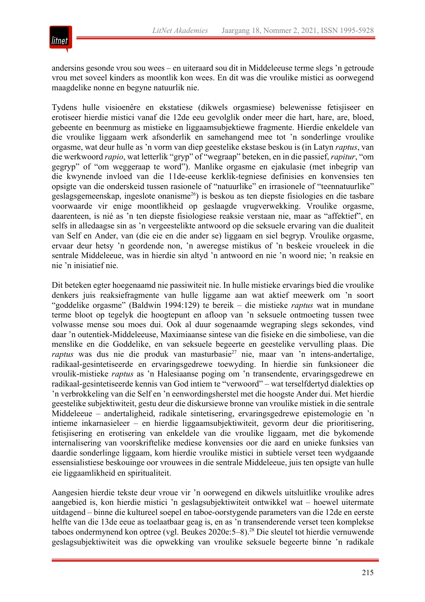

andersins gesonde vrou sou wees – en uiteraard sou dit in Middeleeuse terme slegs 'n getroude vrou met soveel kinders as moontlik kon wees. En dit was die vroulike mistici as oorwegend maagdelike nonne en begyne natuurlik nie.

Tydens hulle visioenêre en ekstatiese (dikwels orgasmiese) belewenisse fetisjiseer en erotiseer hierdie mistici vanaf die 12de eeu gevolglik onder meer die hart, hare, are, bloed, gebeente en beenmurg as mistieke en liggaamsubjektiewe fragmente. Hierdie enkeldele van die vroulike liggaam werk afsonderlik en samehangend mee tot 'n sonderlinge vroulike orgasme, wat deur hulle as 'n vorm van diep geestelike ekstase beskou is (in Latyn *raptus*, van die werkwoord *rapio*, wat letterlik "gryp" of "wegraap" beteken, en in die passief, *rapitur*, "om gegryp" of "om weggeraap te word"). Manlike orgasme en ejakulasie (met inbegrip van die kwynende invloed van die 11de-eeuse kerklik-tegniese definisies en konvensies ten opsigte van die onderskeid tussen rasionele of "natuurlike" en irrasionele of "teennatuurlike" geslagsgemeenskap, ingeslote onanisme<sup>26</sup>) is beskou as ten diepste fisiologies en die tasbare voorwaarde vir enige moontlikheid op geslaagde vrugverwekking. Vroulike orgasme, daarenteen, is nié as 'n ten diepste fisiologiese reaksie verstaan nie, maar as "affektief", en selfs in alledaagse sin as 'n vergeestelikte antwoord op die seksuele ervaring van die dualiteit van Self en Ander, van (die eie en die ander se) liggaam en siel begryp. Vroulike orgasme, ervaar deur hetsy 'n geordende non, 'n aweregse mistikus of 'n beskeie vroueleek in die sentrale Middeleeue, was in hierdie sin altyd 'n antwoord en nie 'n woord nie; 'n reaksie en nie 'n inisiatief nie.

Dit beteken egter hoegenaamd nie passiwiteit nie. In hulle mistieke ervarings bied die vroulike denkers juis reaksiefragmente van hulle liggame aan wat aktief meewerk om 'n soort "goddelike orgasme" (Baldwin 1994:129) te bereik – die mistieke *raptus* wat in mundane terme bloot op tegelyk die hoogtepunt en afloop van 'n seksuele ontmoeting tussen twee volwasse mense sou moes dui. Ook al duur sogenaamde wegraping slegs sekondes, vind daar 'n outentiek-Middeleeuse, Maximiaanse sintese van die fisieke en die simboliese, van die menslike en die Goddelike, en van seksuele begeerte en geestelike vervulling plaas. Die *raptus* was dus nie die produk van masturbasie<sup>27</sup> nie, maar van 'n intens-andertalige, radikaal-gesintetiseerde en ervaringsgedrewe toewyding. In hierdie sin funksioneer die vroulik-mistieke *raptus* as 'n Halesiaanse poging om 'n transendente, ervaringsgedrewe en radikaal-gesintetiseerde kennis van God intiem te "verwoord" – wat terselfdertyd dialekties op 'n verbrokkeling van die Self en 'n eenwordingsherstel met die hoogste Ander dui. Met hierdie geestelike subjektiwiteit, gestu deur die diskursiewe bronne van vroulike mistiek in die sentrale Middeleeue – andertaligheid, radikale sintetisering, ervaringsgedrewe epistemologie en 'n intieme inkarnasieleer – en hierdie liggaamsubjektiwiteit, gevorm deur die prioritisering, fetisjisering en erotisering van enkeldele van die vroulike liggaam, met die bykomende internalisering van voorskriftelike mediese konvensies oor die aard en unieke funksies van daardie sonderlinge liggaam, kom hierdie vroulike mistici in subtiele verset teen wydgaande essensialistiese beskouinge oor vrouwees in die sentrale Middeleeue, juis ten opsigte van hulle eie liggaamlikheid en spiritualiteit.

Aangesien hierdie tekste deur vroue vir 'n oorwegend en dikwels uitsluitlike vroulike adres aangebied is, kon hierdie mistici 'n geslagsubjektiwiteit ontwikkel wat – hoewel uitermate uitdagend – binne die kultureel soepel en taboe-oorstygende parameters van die 12de en eerste helfte van die 13de eeue as toelaatbaar geag is, en as 'n transenderende verset teen komplekse taboes ondermynend kon optree (vgl. Beukes 2020e:5–8).28 Die sleutel tot hierdie vernuwende geslagsubjektiwiteit was die opwekking van vroulike seksuele begeerte binne 'n radikale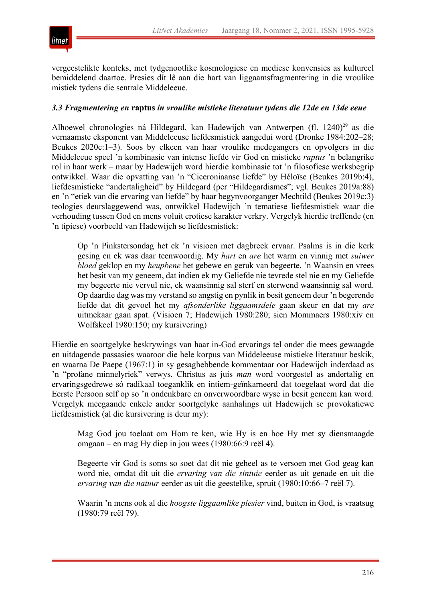

vergeestelikte konteks, met tydgenootlike kosmologiese en mediese konvensies as kultureel bemiddelend daartoe. Presies dít lê aan die hart van liggaamsfragmentering in die vroulike mistiek tydens die sentrale Middeleeue.

## *3.3 Fragmentering en* **raptus** *in vroulike mistieke literatuur tydens die 12de en 13de eeue*

Alhoewel chronologies ná Hildegard, kan Hadewijch van Antwerpen (fl. 1240)<sup>29</sup> as die vernaamste eksponent van Middeleeuse liefdesmistiek aangedui word (Dronke 1984:202–28; Beukes 2020c:1–3). Soos by elkeen van haar vroulike medegangers en opvolgers in die Middeleeue speel 'n kombinasie van intense liefde vir God en mistieke *raptus* 'n belangrike rol in haar werk – maar by Hadewijch word hierdie kombinasie tot 'n filosofiese werksbegrip ontwikkel. Waar die opvatting van 'n "Ciceroniaanse liefde" by Héloïse (Beukes 2019b:4), liefdesmistieke "andertaligheid" by Hildegard (per "Hildegardismes"; vgl. Beukes 2019a:88) en 'n "etiek van die ervaring van liefde" by haar begynvoorganger Mechtild (Beukes 2019c:3) teologies deurslaggewend was, ontwikkel Hadewijch 'n tematiese liefdesmistiek waar die verhouding tussen God en mens voluit erotiese karakter verkry. Vergelyk hierdie treffende (en 'n tipiese) voorbeeld van Hadewijch se liefdesmistiek:

Op 'n Pinkstersondag het ek 'n visioen met dagbreek ervaar. Psalms is in die kerk gesing en ek was daar teenwoordig. My *hart* en *are* het warm en vinnig met *suiwer bloed* geklop en my *heupbene* het gebewe en geruk van begeerte. 'n Waansin en vrees het besit van my geneem, dat indien ek my Geliefde nie tevrede stel nie en my Geliefde my begeerte nie vervul nie, ek waansinnig sal sterf en sterwend waansinnig sal word. Op daardie dag was my verstand so angstig en pynlik in besit geneem deur 'n begerende liefde dat dit gevoel het my *afsonderlike liggaamsdele* gaan skeur en dat my *are* uitmekaar gaan spat. (Visioen 7; Hadewijch 1980:280; sien Mommaers 1980:xiv en Wolfskeel 1980:150; my kursivering)

Hierdie en soortgelyke beskrywings van haar in-God ervarings tel onder die mees gewaagde en uitdagende passasies waaroor die hele korpus van Middeleeuse mistieke literatuur beskik, en waarna De Paepe (1967:1) in sy gesaghebbende kommentaar oor Hadewijch inderdaad as 'n "profane minnelyriek" verwys. Christus as juis *man* word voorgestel as andertalig en ervaringsgedrewe só radikaal toeganklik en intiem-geïnkarneerd dat toegelaat word dat die Eerste Persoon self op so 'n ondenkbare en onverwoordbare wyse in besit geneem kan word. Vergelyk meegaande enkele ander soortgelyke aanhalings uit Hadewijch se provokatiewe liefdesmistiek (al die kursivering is deur my):

Mag God jou toelaat om Hom te ken, wie Hy is en hoe Hy met sy diensmaagde omgaan – en mag Hy diep in jou wees (1980:66:9 reël 4).

Begeerte vir God is soms so soet dat dit nie geheel as te versoen met God geag kan word nie, omdat dit uit die *ervaring van die sintuie* eerder as uit genade en uit die *ervaring van die natuur* eerder as uit die geestelike, spruit (1980:10:66–7 reël 7).

Waarin 'n mens ook al die *hoogste liggaamlike plesier* vind, buiten in God, is vraatsug (1980:79 reël 79).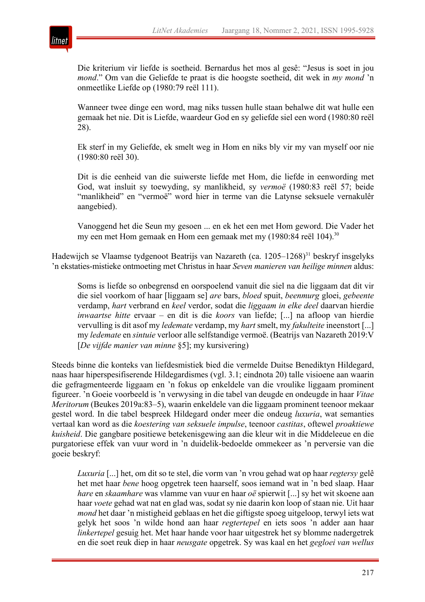

Die kriterium vir liefde is soetheid. Bernardus het mos al gesê: "Jesus is soet in jou *mond*." Om van die Geliefde te praat is die hoogste soetheid, dit wek in *my mond* 'n onmeetlike Liefde op (1980:79 reël 111).

Wanneer twee dinge een word, mag niks tussen hulle staan behalwe dit wat hulle een gemaak het nie. Dit is Liefde, waardeur God en sy geliefde siel een word (1980:80 reël 28).

Ek sterf in my Geliefde, ek smelt weg in Hom en niks bly vir my van myself oor nie (1980:80 reël 30).

Dit is die eenheid van die suiwerste liefde met Hom, die liefde in eenwording met God, wat insluit sy toewyding, sy manlikheid, sy *vermoë* (1980:83 reël 57; beide "manlikheid" en "vermoë" word hier in terme van die Latynse seksuele vernakulêr aangebied).

Vanoggend het die Seun my gesoen ... en ek het een met Hom geword. Die Vader het my een met Hom gemaak en Hom een gemaak met my (1980:84 reël 104).<sup>30</sup>

Hadewijch se Vlaamse tydgenoot Beatrijs van Nazareth (ca. 1205–1268)<sup>31</sup> beskryf insgelyks 'n ekstaties-mistieke ontmoeting met Christus in haar *Seven manieren van heilige minnen* aldus:

Soms is liefde so onbegrensd en oorspoelend vanuit die siel na die liggaam dat dit vir die siel voorkom of haar [liggaam se] *are* bars, *bloed* spuit, *beenmurg* gloei, *gebeente* verdamp, *hart* verbrand en *keel* verdor, sodat die *liggaam in elke deel* daarvan hierdie *inwaartse hitte* ervaar – en dit is die *koors* van liefde; [...] na afloop van hierdie vervulling is dit asof my *ledemate* verdamp, my *hart* smelt, my *fakulteite* ineenstort [...] my *ledemate* en *sintuie* verloor alle selfstandige vermoë. (Beatrijs van Nazareth 2019:V [*De vijfde manier van minne* §5]; my kursivering)

Steeds binne die konteks van liefdesmistiek bied die vermelde Duitse Benediktyn Hildegard, naas haar hiperspesifiserende Hildegardismes (vgl. 3.1; eindnota 20) talle visioene aan waarin die gefragmenteerde liggaam en 'n fokus op enkeldele van die vroulike liggaam prominent figureer. 'n Goeie voorbeeld is 'n verwysing in die tabel van deugde en ondeugde in haar *Vitae Meritorum* (Beukes 2019a:83–5), waarin enkeldele van die liggaam prominent teenoor mekaar gestel word. In die tabel bespreek Hildegard onder meer die ondeug *luxuria*, wat semanties vertaal kan word as die *koestering van seksuele impulse*, teenoor *castitas*, oftewel *proaktiewe kuisheid*. Die gangbare positiewe betekenisgewing aan die kleur wit in die Middeleeue en die purgatoriese effek van vuur word in 'n duidelik-bedoelde ommekeer as 'n perversie van die goeie beskryf:

*Luxuria* [...] het, om dit so te stel, die vorm van 'n vrou gehad wat op haar *regtersy* gelê het met haar *bene* hoog opgetrek teen haarself, soos iemand wat in 'n bed slaap. Haar *hare* en *skaamhare* was vlamme van vuur en haar *oë* spierwit [...] sy het wit skoene aan haar *voete* gehad wat nat en glad was, sodat sy nie daarin kon loop of staan nie. Uit haar *mond* het daar 'n mistigheid geblaas en het die giftigste spoeg uitgeloop, terwyl iets wat gelyk het soos 'n wilde hond aan haar *regtertepel* en iets soos 'n adder aan haar *linkertepel* gesuig het. Met haar hande voor haar uitgestrek het sy blomme nadergetrek en die soet reuk diep in haar *neusgate* opgetrek. Sy was kaal en het *gegloei van wellus*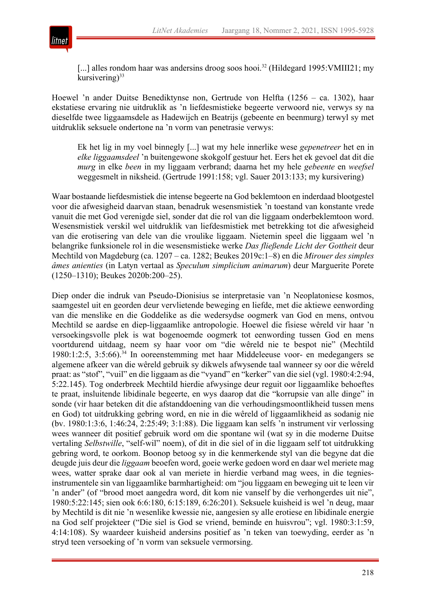

[...] alles rondom haar was andersins droog soos hooi.<sup>32</sup> (Hildegard 1995: VMIII21; my kursivering) $33$ 

Hoewel 'n ander Duitse Benediktynse non, Gertrude von Helfta (1256 – ca. 1302), haar ekstatiese ervaring nie uitdruklik as 'n liefdesmistieke begeerte verwoord nie, verwys sy na dieselfde twee liggaamsdele as Hadewijch en Beatrijs (gebeente en beenmurg) terwyl sy met uitdruklik seksuele ondertone na 'n vorm van penetrasie verwys:

Ek het lig in my voel binnegly [...] wat my hele innerlike wese *gepenetreer* het en in *elke liggaamsdeel* 'n buitengewone skokgolf gestuur het. Eers het ek gevoel dat dit die *murg* in elke *been* in my liggaam verbrand; daarna het my hele *gebeente* en *weefsel* weggesmelt in niksheid. (Gertrude 1991:158; vgl. Sauer 2013:133; my kursivering)

Waar bostaande liefdesmistiek die intense begeerte na God beklemtoon en inderdaad blootgestel voor die afwesigheid daarvan staan, benadruk wesensmistiek 'n toestand van konstante vrede vanuit die met God verenigde siel, sonder dat die rol van die liggaam onderbeklemtoon word. Wesensmistiek verskil wel uitdruklik van liefdesmistiek met betrekking tot die afwesigheid van die erotisering van dele van die vroulike liggaam. Nietemin speel die liggaam wel 'n belangrike funksionele rol in die wesensmistieke werke *Das fließende Licht der Gottheit* deur Mechtild von Magdeburg (ca. 1207 – ca. 1282; Beukes 2019c:1–8) en die *Mirouer des simples âmes anienties* (in Latyn vertaal as *Speculum simplicium animarum*) deur Marguerite Porete (1250–1310); Beukes 2020b:200–25).

Diep onder die indruk van Pseudo-Dionisius se interpretasie van 'n Neoplatoniese kosmos, saamgestel uit en georden deur vervlietende beweging en liefde, met die aktiewe eenwording van die menslike en die Goddelike as die wedersydse oogmerk van God en mens, ontvou Mechtild se aardse en diep-liggaamlike antropologie. Hoewel die fisiese wêreld vir haar 'n versoekingsvolle plek is wat bogenoemde oogmerk tot eenwording tussen God en mens voortdurend uitdaag, neem sy haar voor om "die wêreld nie te bespot nie" (Mechtild 1980:1:2:5, 3:5:66).34 In ooreenstemming met haar Middeleeuse voor- en medegangers se algemene afkeer van die wêreld gebruik sy dikwels afwysende taal wanneer sy oor die wêreld praat: as "stof", "vuil" en die liggaam as die "vyand" en "kerker" van die siel (vgl. 1980:4:2:94, 5:22.145). Tog onderbreek Mechtild hierdie afwysinge deur reguit oor liggaamlike behoeftes te praat, insluitende libidinale begeerte, en wys daarop dat die "korrupsie van alle dinge" in sonde (vir haar beteken dit die afstanddoening van die verhoudingsmoontlikheid tussen mens en God) tot uitdrukking gebring word, en nie in die wêreld of liggaamlikheid as sodanig nie (bv. 1980:1:3:6, 1:46:24, 2:25:49; 3:1:88). Die liggaam kan selfs 'n instrument vir verlossing wees wanneer dit positief gebruik word om die spontane wil (wat sy in die moderne Duitse vertaling *Selbstwille*, "self-wil" noem), of dit in die siel of in die liggaam self tot uitdrukking gebring word, te oorkom. Boonop betoog sy in die kenmerkende styl van die begyne dat die deugde juis deur die *liggaam* beoefen word, goeie werke gedoen word en daar wel meriete mag wees, watter sprake daar ook al van meriete in hierdie verband mag wees, in die tegniesinstrumentele sin van liggaamlike barmhartigheid: om "jou liggaam en beweging uit te leen vir 'n ander" (of "brood moet aangedra word, dit kom nie vanself by die verhongerdes uit nie", 1980:5:22:145; sien ook 6:6:180, 6:15:189, 6:26:201). Seksuele kuisheid is wel 'n deug, maar by Mechtild is dit nie 'n wesenlike kwessie nie, aangesien sy alle erotiese en libidinale energie na God self projekteer ("Die siel is God se vriend, beminde en huisvrou"; vgl. 1980:3:1:59, 4:14:108). Sy waardeer kuisheid andersins positief as 'n teken van toewyding, eerder as 'n stryd teen versoeking of 'n vorm van seksuele vermorsing.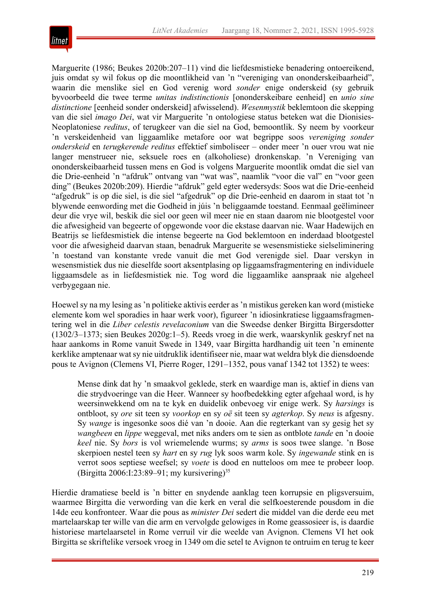

Marguerite (1986; Beukes 2020b:207–11) vind die liefdesmistieke benadering ontoereikend, juis omdat sy wil fokus op die moontlikheid van 'n "vereniging van ononderskeibaarheid", waarin die menslike siel en God verenig word *sonder* enige onderskeid (sy gebruik byvoorbeeld die twee terme *unitas indistinctionis* [ononderskeibare eenheid] en *unio sine distinctione* [eenheid sonder onderskeid] afwisselend). *Wesenmystik* beklemtoon die skepping van die siel *imago Dei*, wat vir Marguerite 'n ontologiese status beteken wat die Dionisies-Neoplatoniese *reditus*, of terugkeer van die siel na God, bemoontlik. Sy neem by voorkeur 'n verskeidenheid van liggaamlike metafore oor wat begrippe soos *vereniging sonder onderskeid* en *terugkerende reditus* effektief simboliseer – onder meer 'n ouer vrou wat nie langer menstrueer nie, seksuele roes en (alkoholiese) dronkenskap. 'n Vereniging van ononderskeibaarheid tussen mens en God is volgens Marguerite moontlik omdat die siel van die Drie-eenheid 'n "afdruk" ontvang van "wat was", naamlik "voor die val" en "voor geen ding" (Beukes 2020b:209). Hierdie "afdruk" geld egter wedersyds: Soos wat die Drie-eenheid "afgedruk" is op die siel, is die siel "afgedruk" op die Drie-eenheid en daarom in staat tot 'n blywende eenwording met die Godheid in júis 'n beliggaamde toestand. Eenmaal geëlimineer deur die vrye wil, beskik die siel oor geen wil meer nie en staan daarom nie blootgestel voor die afwesigheid van begeerte of opgewonde voor die ekstase daarvan nie. Waar Hadewijch en Beatrijs se liefdesmistiek die intense begeerte na God beklemtoon en inderdaad blootgestel voor die afwesigheid daarvan staan, benadruk Marguerite se wesensmistieke sielseliminering 'n toestand van konstante vrede vanuit die met God verenigde siel. Daar verskyn in wesensmistiek dus nie dieselfde soort aksentplasing op liggaamsfragmentering en individuele liggaamsdele as in liefdesmistiek nie. Tog word die liggaamlike aanspraak nie algeheel verbygegaan nie.

Hoewel sy na my lesing as 'n politieke aktivis eerder as 'n mistikus gereken kan word (mistieke elemente kom wel sporadies in haar werk voor), figureer 'n idiosinkratiese liggaamsfragmentering wel in die *Liber celestis revelaconium* van die Sweedse denker Birgitta Birgersdotter (1302/3–1373; sien Beukes 2020g:1–5). Reeds vroeg in die werk, waarskynlik geskryf net na haar aankoms in Rome vanuit Swede in 1349, vaar Birgitta hardhandig uit teen 'n eminente kerklike amptenaar wat sy nie uitdruklik identifiseer nie, maar wat weldra blyk die diensdoende pous te Avignon (Clemens VI, Pierre Roger, 1291–1352, pous vanaf 1342 tot 1352) te wees:

Mense dink dat hy 'n smaakvol geklede, sterk en waardige man is, aktief in diens van die strydvoeringe van die Heer. Wanneer sy hoofbedekking egter afgehaal word, is hy weersinwekkend om na te kyk en duidelik onbevoeg vir enige werk. Sy *harsings* is ontbloot, sy *ore* sit teen sy *voorkop* en sy *oë* sit teen sy *agterkop*. Sy *neus* is afgesny. Sy *wange* is ingesonke soos dié van 'n dooie. Aan die regterkant van sy gesig het sy *wangbeen* en *lippe* weggeval, met niks anders om te sien as ontblote *tande* en 'n dooie *keel* nie. Sy *bors* is vol wriemelende wurms; sy *arms* is soos twee slange. 'n Bose skerpioen nestel teen sy *hart* en sy *rug* lyk soos warm kole. Sy *ingewande* stink en is verrot soos septiese weefsel; sy *voete* is dood en nutteloos om mee te probeer loop. (Birgitta 2006:I:23:89–91; my kursivering)<sup>35</sup>

Hierdie dramatiese beeld is 'n bitter en snydende aanklag teen korrupsie en pligsversuim, waarmee Birgitta die verwording van die kerk en veral die selfkoesterende pousdom in die 14de eeu konfronteer. Waar die pous as *minister Dei* sedert die middel van die derde eeu met martelaarskap ter wille van die arm en vervolgde gelowiges in Rome geassosieer is, is daardie historiese martelaarsetel in Rome verruil vir die weelde van Avignon. Clemens VI het ook Birgitta se skriftelike versoek vroeg in 1349 om die setel te Avignon te ontruim en terug te keer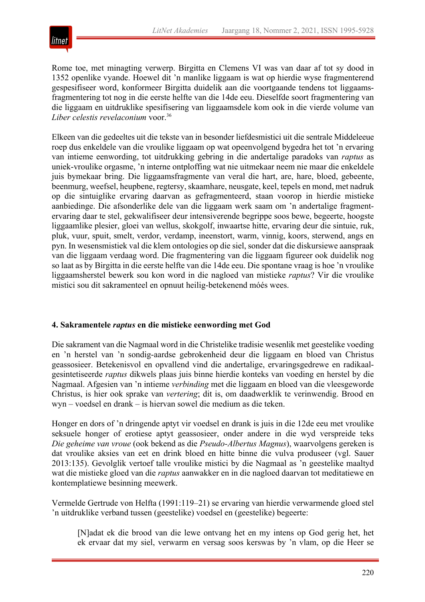

Rome toe, met minagting verwerp. Birgitta en Clemens VI was van daar af tot sy dood in 1352 openlike vyande. Hoewel dit 'n manlike liggaam is wat op hierdie wyse fragmenterend gespesifiseer word, konformeer Birgitta duidelik aan die voortgaande tendens tot liggaamsfragmentering tot nog in die eerste helfte van die 14de eeu. Dieselfde soort fragmentering van die liggaam en uitdruklike spesifisering van liggaamsdele kom ook in die vierde volume van *Liber celestis revelaconium* voor.36

Elkeen van die gedeeltes uit die tekste van in besonder liefdesmistici uit die sentrale Middeleeue roep dus enkeldele van die vroulike liggaam op wat opeenvolgend bygedra het tot 'n ervaring van intieme eenwording, tot uitdrukking gebring in die andertalige paradoks van *raptus* as uniek-vroulike orgasme, 'n interne ontploffing wat nie uitmekaar neem nie maar die enkeldele juis bymekaar bring. Die liggaamsfragmente van veral die hart, are, hare, bloed, gebeente, beenmurg, weefsel, heupbene, regtersy, skaamhare, neusgate, keel, tepels en mond, met nadruk op die sintuiglike ervaring daarvan as gefragmenteerd, staan voorop in hierdie mistieke aanbiedinge. Die afsonderlike dele van die liggaam werk saam om 'n andertalige fragmentervaring daar te stel, gekwalifiseer deur intensiverende begrippe soos bewe, begeerte, hoogste liggaamlike plesier, gloei van wellus, skokgolf, inwaartse hitte, ervaring deur die sintuie, ruk, pluk, vuur, spuit, smelt, verdor, verdamp, ineenstort, warm, vinnig, koors, sterwend, angs en pyn. In wesensmistiek val die klem ontologies op die siel, sonder dat die diskursiewe aanspraak van die liggaam verdaag word. Die fragmentering van die liggaam figureer ook duidelik nog so laat as by Birgitta in die eerste helfte van die 14de eeu. Die spontane vraag is hoe 'n vroulike liggaamsherstel bewerk sou kon word in die nagloed van mistieke *raptus*? Vir die vroulike mistici sou dit sakramenteel en opnuut heilig-betekenend móés wees.

## **4. Sakramentele** *raptus* **en die mistieke eenwording met God**

Die sakrament van die Nagmaal word in die Christelike tradisie wesenlik met geestelike voeding en 'n herstel van 'n sondig-aardse gebrokenheid deur die liggaam en bloed van Christus geassosieer. Betekenisvol en opvallend vind die andertalige, ervaringsgedrewe en radikaalgesintetiseerde *raptus* dikwels plaas juis binne hierdie konteks van voeding en herstel by die Nagmaal. Afgesien van 'n intieme *verbinding* met die liggaam en bloed van die vleesgeworde Christus, is hier ook sprake van *vertering*; dit is, om daadwerklik te verinwendig. Brood en wyn – voedsel en drank – is hiervan sowel die medium as die teken.

Honger en dors of 'n dringende aptyt vir voedsel en drank is juis in die 12de eeu met vroulike seksuele honger of erotiese aptyt geassosieer, onder andere in die wyd verspreide teks *Die geheime van vroue* (ook bekend as die *Pseudo-Albertus Magnus*), waarvolgens gereken is dat vroulike aksies van eet en drink bloed en hitte binne die vulva produseer (vgl. Sauer 2013:135). Gevolglik vertoef talle vroulike mistici by die Nagmaal as 'n geestelike maaltyd wat die mistieke gloed van die *raptus* aanwakker en in die nagloed daarvan tot meditatiewe en kontemplatiewe besinning meewerk.

Vermelde Gertrude von Helfta (1991:119–21) se ervaring van hierdie verwarmende gloed stel 'n uitdruklike verband tussen (geestelike) voedsel en (geestelike) begeerte:

[N]adat ek die brood van die lewe ontvang het en my intens op God gerig het, het ek ervaar dat my siel, verwarm en versag soos kerswas by 'n vlam, op die Heer se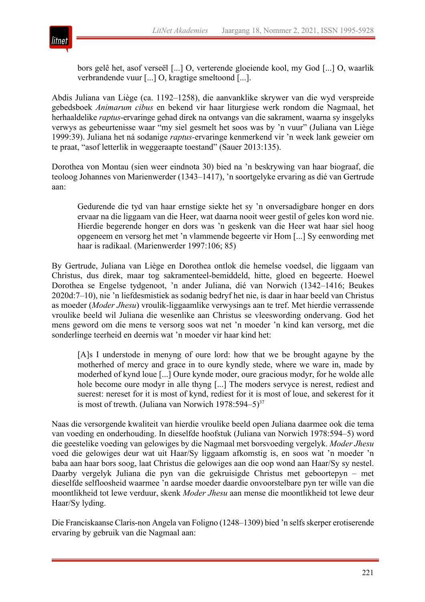

bors gelê het, asof verseël [...] O, verterende gloeiende kool, my God [...] O, waarlik verbrandende vuur [...] O, kragtige smeltoond [...].

Abdis Juliana van Liège (ca. 1192–1258), die aanvanklike skrywer van die wyd verspreide gebedsboek *Animarum cibus* en bekend vir haar liturgiese werk rondom die Nagmaal, het herhaaldelike *raptus*-ervaringe gehad direk na ontvangs van die sakrament, waarna sy insgelyks verwys as gebeurtenisse waar "my siel gesmelt het soos was by 'n vuur" (Juliana van Liège 1999:39). Juliana het ná sodanige *raptus-*ervaringe kenmerkend vir 'n week lank geweier om te praat, "asof letterlik in weggeraapte toestand" (Sauer 2013:135).

Dorothea von Montau (sien weer eindnota 30) bied na 'n beskrywing van haar biograaf, die teoloog Johannes von Marienwerder (1343–1417), 'n soortgelyke ervaring as dié van Gertrude aan:

Gedurende die tyd van haar ernstige siekte het sy 'n onversadigbare honger en dors ervaar na die liggaam van die Heer, wat daarna nooit weer gestil of geles kon word nie. Hierdie begerende honger en dors was 'n geskenk van die Heer wat haar siel hoog opgeneem en versorg het met 'n vlammende begeerte vir Hom [...] Sy eenwording met haar is radikaal. (Marienwerder 1997:106; 85)

By Gertrude, Juliana van Liège en Dorothea ontlok die hemelse voedsel, die liggaam van Christus, dus direk, maar tog sakramenteel-bemiddeld, hitte, gloed en begeerte. Hoewel Dorothea se Engelse tydgenoot, 'n ander Juliana, dié van Norwich (1342–1416; Beukes 2020d:7–10), nie 'n liefdesmistiek as sodanig bedryf het nie, is daar in haar beeld van Christus as moeder (*Moder Jhesu*) vroulik-liggaamlike verwysings aan te tref. Met hierdie verrassende vroulike beeld wil Juliana die wesenlike aan Christus se vleeswording ondervang. God het mens geword om die mens te versorg soos wat net 'n moeder 'n kind kan versorg, met die sonderlinge teerheid en deernis wat 'n moeder vir haar kind het:

[A]s I understode in menyng of oure lord: how that we be brought agayne by the motherhed of mercy and grace in to oure kyndly stede, where we ware in, made by moderhed of kynd loue [...] Oure kynde moder, oure gracious modyr, for he wolde alle hole become oure modyr in alle thyng [...] The moders servyce is nerest, rediest and suerest: nereset for it is most of kynd, rediest for it is most of loue, and sekerest for it is most of trewth. (Juliana van Norwich  $1978:594-5$ )<sup>37</sup>

Naas die versorgende kwaliteit van hierdie vroulike beeld open Juliana daarmee ook die tema van voeding en onderhouding. In dieselfde hoofstuk (Juliana van Norwich 1978:594–5) word die geestelike voeding van gelowiges by die Nagmaal met borsvoeding vergelyk. *Moder Jhesu* voed die gelowiges deur wat uit Haar/Sy liggaam afkomstig is, en soos wat 'n moeder 'n baba aan haar bors soog, laat Christus die gelowiges aan die oop wond aan Haar/Sy sy nestel. Daarby vergelyk Juliana die pyn van die gekruisigde Christus met geboortepyn – met dieselfde selfloosheid waarmee 'n aardse moeder daardie onvoorstelbare pyn ter wille van die moontlikheid tot lewe verduur, skenk *Moder Jhesu* aan mense die moontlikheid tot lewe deur Haar/Sy lyding.

Die Franciskaanse Claris-non Angela van Foligno (1248–1309) bied 'n selfs skerper erotiserende ervaring by gebruik van die Nagmaal aan: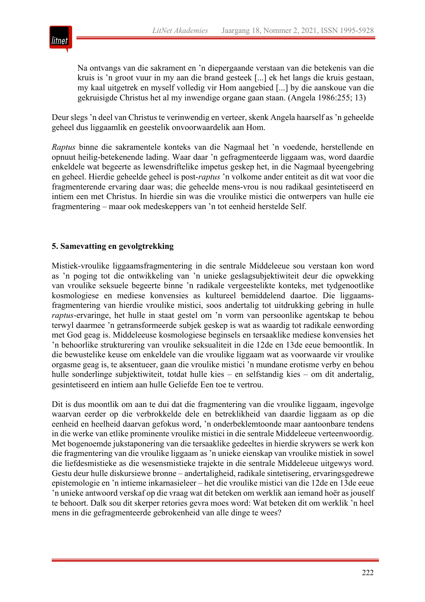

Na ontvangs van die sakrament en 'n diepergaande verstaan van die betekenis van die kruis is 'n groot vuur in my aan die brand gesteek [...] ek het langs die kruis gestaan, my kaal uitgetrek en myself volledig vir Hom aangebied [...] by die aanskoue van die gekruisigde Christus het al my inwendige organe gaan staan. (Angela 1986:255; 13)

Deur slegs 'n deel van Christus te verinwendig en verteer, skenk Angela haarself as 'n geheelde geheel dus liggaamlik en geestelik onvoorwaardelik aan Hom.

*Raptus* binne die sakramentele konteks van die Nagmaal het 'n voedende, herstellende en opnuut heilig-betekenende lading. Waar daar 'n gefragmenteerde liggaam was, word daardie enkeldele wat begeerte as lewensdriftelike impetus geskep het, in die Nagmaal byeengebring en geheel. Hierdie geheelde geheel is post-*raptus* 'n volkome ander entiteit as dit wat voor die fragmenterende ervaring daar was; die geheelde mens-vrou is nou radikaal gesintetiseerd en intiem een met Christus. In hierdie sin was die vroulike mistici die ontwerpers van hulle eie fragmentering – maar ook medeskeppers van 'n tot eenheid herstelde Self.

## **5. Samevatting en gevolgtrekking**

Mistiek-vroulike liggaamsfragmentering in die sentrale Middeleeue sou verstaan kon word as 'n poging tot die ontwikkeling van 'n unieke geslagsubjektiwiteit deur die opwekking van vroulike seksuele begeerte binne 'n radikale vergeestelikte konteks, met tydgenootlike kosmologiese en mediese konvensies as kultureel bemiddelend daartoe. Die liggaamsfragmentering van hierdie vroulike mistici, soos andertalig tot uitdrukking gebring in hulle *raptus*-ervaringe, het hulle in staat gestel om 'n vorm van persoonlike agentskap te behou terwyl daarmee 'n getransformeerde subjek geskep is wat as waardig tot radikale eenwording met God geag is. Middeleeuse kosmologiese beginsels en tersaaklike mediese konvensies het 'n behoorlike strukturering van vroulike seksualiteit in die 12de en 13de eeue bemoontlik. In die bewustelike keuse om enkeldele van die vroulike liggaam wat as voorwaarde vir vroulike orgasme geag is, te aksentueer, gaan die vroulike mistici 'n mundane erotisme verby en behou hulle sonderlinge subjektiwiteit, totdat hulle kies – en selfstandig kies – om dit andertalig, gesintetiseerd en intiem aan hulle Geliefde Een toe te vertrou.

Dit is dus moontlik om aan te dui dat die fragmentering van die vroulike liggaam, ingevolge waarvan eerder op die verbrokkelde dele en betreklikheid van daardie liggaam as op die eenheid en heelheid daarvan gefokus word, 'n onderbeklemtoonde maar aantoonbare tendens in die werke van etlike prominente vroulike mistici in die sentrale Middeleeue verteenwoordig. Met bogenoemde jukstaponering van die tersaaklike gedeeltes in hierdie skrywers se werk kon die fragmentering van die vroulike liggaam as 'n unieke eienskap van vroulike mistiek in sowel die liefdesmistieke as die wesensmistieke trajekte in die sentrale Middeleeue uitgewys word. Gestu deur hulle diskursiewe bronne – andertaligheid, radikale sintetisering, ervaringsgedrewe epistemologie en 'n intieme inkarnasieleer – het die vroulike mistici van die 12de en 13de eeue 'n unieke antwoord verskaf op die vraag wat dit beteken om werklik aan iemand hoër as jouself te behoort. Dalk sou dit skerper retories gevra moes word: Wat beteken dit om werklik 'n heel mens in die gefragmenteerde gebrokenheid van alle dinge te wees?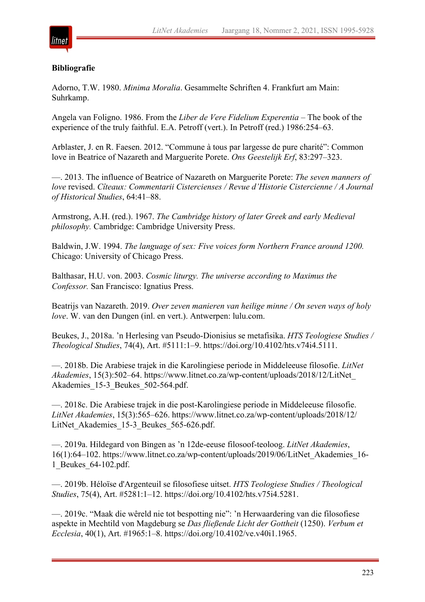

## **Bibliografie**

Adorno, T.W. 1980. *Minima Moralia*. Gesammelte Schriften 4. Frankfurt am Main: Suhrkamp.

Angela van Foligno. 1986. From the *Liber de Vere Fidelium Experentia* – The book of the experience of the truly faithful. E.A. Petroff (vert.). In Petroff (red.) 1986:254–63.

Arblaster, J. en R. Faesen. 2012. "Commune à tous par largesse de pure charité": Common love in Beatrice of Nazareth and Marguerite Porete. *Ons Geestelijk Erf*, 83:297–323.

—. 2013. The influence of Beatrice of Nazareth on Marguerite Porete: *The seven manners of love* revised. *Cîteaux: Commentarii Cistercienses / Revue d'Historie Cistercienne / A Journal of Historical Studies*, 64:41–88.

Armstrong, A.H. (red.). 1967. *The Cambridge history of later Greek and early Medieval philosophy.* Cambridge: Cambridge University Press.

Baldwin, J.W. 1994. *The language of sex: Five voices form Northern France around 1200.* Chicago: University of Chicago Press.

Balthasar, H.U. von. 2003. *Cosmic liturgy. The universe according to Maximus the Confessor.* San Francisco: Ignatius Press.

Beatrijs van Nazareth. 2019. *Over zeven manieren van heilige minne / On seven ways of holy love*. W. van den Dungen (inl. en vert.). Antwerpen: lulu.com.

Beukes, J., 2018a. 'n Herlesing van Pseudo-Dionisius se metafisika. *HTS Teologiese Studies / Theological Studies*, 74(4), Art. #5111:1–9. https://doi.org/10.4102/hts.v74i4.5111.

—. 2018b. Die Arabiese trajek in die Karolingiese periode in Middeleeuse filosofie. *LitNet Akademies*, 15(3):502–64. https://www.litnet.co.za/wp-content/uploads/2018/12/LitNet\_ Akademies 15-3 Beukes 502-564.pdf.

—. 2018c. Die Arabiese trajek in die post-Karolingiese periode in Middeleeuse filosofie. *LitNet Akademies*, 15(3):565–626. https://www.litnet.co.za/wp-content/uploads/2018/12/ LitNet Akademies 15-3 Beukes 565-626.pdf.

—. 2019a. Hildegard von Bingen as 'n 12de-eeuse filosoof-teoloog. *LitNet Akademies*, 16(1):64–102. https://www.litnet.co.za/wp-content/uploads/2019/06/LitNet\_Akademies\_16- 1\_Beukes\_64-102.pdf.

—. 2019b. Héloïse d'Argenteuil se filosofiese uitset. *HTS Teologiese Studies / Theological Studies*, 75(4), Art. #5281:1–12. https://doi.org/10.4102/hts.v75i4.5281.

—. 2019c. "Maak die wêreld nie tot bespotting nie": 'n Herwaardering van die filosofiese aspekte in Mechtild von Magdeburg se *Das fließende Licht der Gottheit* (1250). *Verbum et Ecclesia*, 40(1), Art. #1965:1–8. https://doi.org/10.4102/ve.v40i1.1965.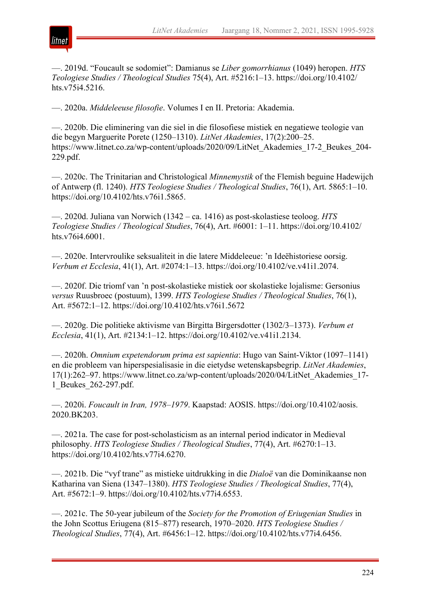

—. 2019d. "Foucault se sodomiet": Damianus se *Liber gomorrhianus* (1049) heropen. *HTS Teologiese Studies / Theological Studies* 75(4), Art. #5216:1–13. https://doi.org/10.4102/ hts.v75i4.5216.

—. 2020a. *Middeleeuse filosofie*. Volumes I en II. Pretoria: Akademia.

—. 2020b. Die eliminering van die siel in die filosofiese mistiek en negatiewe teologie van die begyn Marguerite Porete (1250–1310). *LitNet Akademies*, 17(2):200–25. https://www.litnet.co.za/wp-content/uploads/2020/09/LitNet\_Akademies\_17-2\_Beukes\_204- 229.pdf.

—. 2020c. The Trinitarian and Christological *Minnemystik* of the Flemish beguine Hadewijch of Antwerp (fl. 1240). *HTS Teologiese Studies / Theological Studies*, 76(1), Art. 5865:1–10. https://doi.org/10.4102/hts.v76i1.5865.

—. 2020d. Juliana van Norwich (1342 – ca. 1416) as post-skolastiese teoloog. *HTS Teologiese Studies / Theological Studies*, 76(4), Art. #6001: 1–11. https://doi.org/10.4102/ hts.v76i4.6001.

—. 2020e. Intervroulike seksualiteit in die latere Middeleeue: 'n Ideëhistoriese oorsig. *Verbum et Ecclesia*, 41(1), Art. #2074:1–13. https://doi.org/10.4102/ve.v41i1.2074.

—. 2020f. Die triomf van 'n post-skolastieke mistiek oor skolastieke lojalisme: Gersonius *versus* Ruusbroec (postuum), 1399. *HTS Teologiese Studies / Theological Studies*, 76(1), Art. #5672:1–12. https://doi.org/10.4102/hts.v76i1.5672

—. 2020g. Die politieke aktivisme van Birgitta Birgersdotter (1302/3–1373). *Verbum et Ecclesia*, 41(1), Art. #2134:1–12. https://doi.org/10.4102/ve.v41i1.2134.

—. 2020h. *Omnium expetendorum prima est sapientia*: Hugo van Saint-Viktor (1097–1141) en die probleem van hiperspesialisasie in die eietydse wetenskapsbegrip. *LitNet Akademies*, 17(1):262–97. https://www.litnet.co.za/wp-content/uploads/2020/04/LitNet\_Akademies\_17- 1\_Beukes\_262-297.pdf.

—. 2020i. *Foucault in Iran, 1978–1979*. Kaapstad: AOSIS. https://doi.org/10.4102/aosis. 2020.BK203.

—. 2021a. The case for post-scholasticism as an internal period indicator in Medieval philosophy. *HTS Teologiese Studies / Theological Studies*, 77(4), Art. #6270:1–13. https://doi.org/10.4102/hts.v77i4.6270.

—. 2021b. Die "vyf trane" as mistieke uitdrukking in die *Dialoë* van die Dominikaanse non Katharina van Siena (1347–1380). *HTS Teologiese Studies / Theological Studies*, 77(4), Art. #5672:1–9. https://doi.org/10.4102/hts.v77i4.6553.

—. 2021c. The 50-year jubileum of the *Society for the Promotion of Eriugenian Studies* in the John Scottus Eriugena (815–877) research, 1970–2020. *HTS Teologiese Studies / Theological Studies*, 77(4), Art. #6456:1–12. https://doi.org/10.4102/hts.v77i4.6456.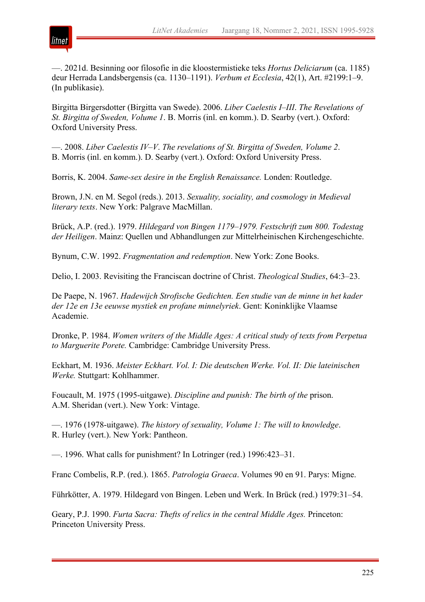

—. 2021d. Besinning oor filosofie in die kloostermistieke teks *Hortus Deliciarum* (ca. 1185) deur Herrada Landsbergensis (ca. 1130–1191). *Verbum et Ecclesia*, 42(1), Art. #2199:1–9. (In publikasie).

Birgitta Birgersdotter (Birgitta van Swede). 2006. *Liber Caelestis I–III*. *The Revelations of St. Birgitta of Sweden, Volume 1*. B. Morris (inl. en komm.). D. Searby (vert.). Oxford: Oxford University Press.

—. 2008. *Liber Caelestis IV–V*. *The revelations of St. Birgitta of Sweden, Volume 2*. B. Morris (inl. en komm.). D. Searby (vert.). Oxford: Oxford University Press.

Borris, K. 2004. *Same-sex desire in the English Renaissance.* Londen: Routledge.

Brown, J.N. en M. Segol (reds.). 2013. *Sexuality, sociality, and cosmology in Medieval literary texts*. New York: Palgrave MacMillan.

Brück, A.P. (red.). 1979. *Hildegard von Bingen 1179–1979. Festschrift zum 800. Todestag der Heiligen*. Mainz: Quellen und Abhandlungen zur Mittelrheinischen Kirchengeschichte.

Bynum, C.W. 1992. *Fragmentation and redemption*. New York: Zone Books.

Delio, I. 2003. Revisiting the Franciscan doctrine of Christ. *Theological Studies*, 64:3–23.

De Paepe, N. 1967. *Hadewijch Strofische Gedichten. Een studie van de minne in het kader der 12e en 13e eeuwse mystiek en profane minnelyriek*. Gent: Koninklijke Vlaamse Academie.

Dronke, P. 1984. *Women writers of the Middle Ages: A critical study of texts from Perpetua to Marguerite Porete.* Cambridge: Cambridge University Press.

Eckhart, M. 1936. *Meister Eckhart. Vol. I: Die deutschen Werke. Vol. II: Die lateinischen Werke.* Stuttgart: Kohlhammer.

Foucault, M. 1975 (1995-uitgawe). *Discipline and punish: The birth of the* prison. A.M. Sheridan (vert.). New York: Vintage.

—. 1976 (1978-uitgawe). *The history of sexuality, Volume 1: The will to knowledge*. R. Hurley (vert.). New York: Pantheon.

—. 1996. What calls for punishment? In Lotringer (red.) 1996:423–31.

Franc Combelis, R.P. (red.). 1865. *Patrologia Graeca*. Volumes 90 en 91. Parys: Migne.

Führkötter, A. 1979. Hildegard von Bingen. Leben und Werk. In Brück (red.) 1979:31–54.

Geary, P.J. 1990. *Furta Sacra: Thefts of relics in the central Middle Ages.* Princeton: Princeton University Press.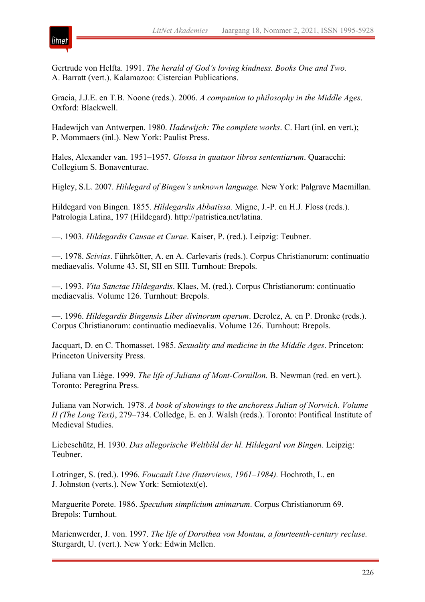

Gertrude von Helfta. 1991. *The herald of God's loving kindness. Books One and Two.* A. Barratt (vert.). Kalamazoo: Cistercian Publications.

Gracia, J.J.E. en T.B. Noone (reds.). 2006. *A companion to philosophy in the Middle Ages*. Oxford: Blackwell.

Hadewijch van Antwerpen. 1980. *Hadewijch: The complete works*. C. Hart (inl. en vert.); P. Mommaers (inl.). New York: Paulist Press.

Hales, Alexander van. 1951–1957. *Glossa in quatuor libros sententiarum*. Quaracchi: Collegium S. Bonaventurae.

Higley, S.L. 2007. *Hildegard of Bingen's unknown language.* New York: Palgrave Macmillan.

Hildegard von Bingen. 1855. *Hildegardis Abbatissa.* Migne, J.-P. en H.J. Floss (reds.). Patrologia Latina, 197 (Hildegard). http://patristica.net/latina.

—. 1903. *Hildegardis Causae et Curae*. Kaiser, P. (red.). Leipzig: Teubner.

—. 1978. *Scivias*. Führkötter, A. en A. Carlevaris (reds.). Corpus Christianorum: continuatio mediaevalis. Volume 43. SI, SII en SIII. Turnhout: Brepols.

—. 1993. *Vita Sanctae Hildegardis*. Klaes, M. (red.). Corpus Christianorum: continuatio mediaevalis. Volume 126. Turnhout: Brepols.

—. 1996. *Hildegardis Bingensis Liber divinorum operum*. Derolez, A. en P. Dronke (reds.). Corpus Christianorum: continuatio mediaevalis. Volume 126. Turnhout: Brepols.

Jacquart, D. en C. Thomasset. 1985. *Sexuality and medicine in the Middle Ages*. Princeton: Princeton University Press.

Juliana van Liège. 1999. *The life of Juliana of Mont-Cornillon.* B. Newman (red. en vert.). Toronto: Peregrina Press.

Juliana van Norwich. 1978. *A book of showings to the anchoress Julian of Norwich*. *Volume II (The Long Text)*, 279–734. Colledge, E. en J. Walsh (reds.). Toronto: Pontifical Institute of Medieval Studies.

Liebeschütz, H. 1930. *Das allegorische Weltbild der hl. Hildegard von Bingen*. Leipzig: Teubner.

Lotringer, S. (red.). 1996. *Foucault Live (Interviews, 1961–1984).* Hochroth, L. en J. Johnston (verts.). New York: Semiotext(e).

Marguerite Porete. 1986. *Speculum simplicium animarum*. Corpus Christianorum 69. Brepols: Turnhout.

Marienwerder, J. von. 1997. *The life of Dorothea von Montau, a fourteenth-century recluse.* Sturgardt, U. (vert.). New York: Edwin Mellen.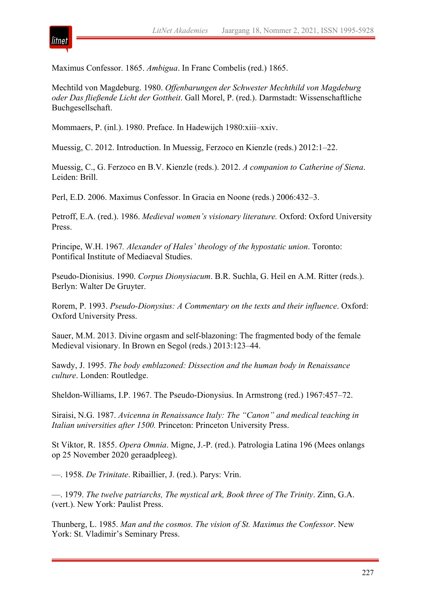

Maximus Confessor. 1865. *Ambigua*. In Franc Combelis (red.) 1865.

Mechtild von Magdeburg. 1980. *Offenbarungen der Schwester Mechthild von Magdeburg oder Das fließende Licht der Gottheit*. Gall Morel, P. (red.). Darmstadt: Wissenschaftliche Buchgesellschaft.

Mommaers, P. (inl.). 1980. Preface. In Hadewijch 1980:xiii–xxiv.

Muessig, C. 2012. Introduction. In Muessig, Ferzoco en Kienzle (reds.) 2012:1–22.

Muessig, C., G. Ferzoco en B.V. Kienzle (reds.). 2012. *A companion to Catherine of Siena*. Leiden: Brill.

Perl, E.D. 2006. Maximus Confessor. In Gracia en Noone (reds.) 2006:432–3.

Petroff, E.A. (red.). 1986. *Medieval women's visionary literature.* Oxford: Oxford University Press.

Principe, W.H. 1967*. Alexander of Hales' theology of the hypostatic union*. Toronto: Pontifical Institute of Mediaeval Studies.

Pseudo-Dionisius. 1990. *Corpus Dionysiacum*. B.R. Suchla, G. Heil en A.M. Ritter (reds.). Berlyn: Walter De Gruyter.

Rorem, P. 1993. *Pseudo-Dionysius: A Commentary on the texts and their influence*. Oxford: Oxford University Press.

Sauer, M.M. 2013. Divine orgasm and self-blazoning: The fragmented body of the female Medieval visionary. In Brown en Segol (reds.) 2013:123–44.

Sawdy, J. 1995. *The body emblazoned: Dissection and the human body in Renaissance culture*. Londen: Routledge.

Sheldon-Williams, I.P. 1967. The Pseudo-Dionysius. In Armstrong (red.) 1967:457–72.

Siraisi, N.G. 1987. *Avicenna in Renaissance Italy: The "Canon" and medical teaching in Italian universities after 1500.* Princeton: Princeton University Press.

St Viktor, R. 1855. *Opera Omnia*. Migne, J.-P. (red.). Patrologia Latina 196 (Mees onlangs op 25 November 2020 geraadpleeg).

—. 1958. *De Trinitate*. Ribaillier, J. (red.). Parys: Vrin.

—. 1979. *The twelve patriarchs, The mystical ark, Book three of The Trinity*. Zinn, G.A. (vert.). New York: Paulist Press.

Thunberg, L. 1985. *Man and the cosmos. The vision of St. Maximus the Confessor*. New York: St. Vladimir's Seminary Press.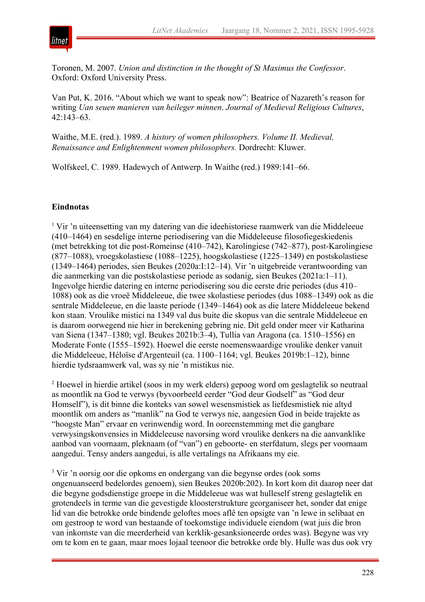

Toronen, M. 2007. *Union and distinction in the thought of St Maximus the Confessor*. Oxford: Oxford University Press.

Van Put, K. 2016. "About which we want to speak now": Beatrice of Nazareth's reason for writing *Uan seuen manieren van heileger minnen*. *Journal of Medieval Religious Cultures*, 42:143–63.

Waithe, M.E. (red.). 1989. *A history of women philosophers. Volume II. Medieval, Renaissance and Enlightenment women philosophers.* Dordrecht: Kluwer.

Wolfskeel, C. 1989. Hadewych of Antwerp. In Waithe (red.) 1989:141–66.

## **Eindnotas**

<sup> $1$ </sup> Vir 'n uiteensetting van my datering van die ideehistoriese raamwerk van die Middeleeue (410–1464) en sesdelige interne periodisering van die Middeleeuse filosofiegeskiedenis (met betrekking tot die post-Romeinse (410–742), Karolingiese (742–877), post-Karolingiese (877–1088), vroegskolastiese (1088–1225), hoogskolastiese (1225–1349) en postskolastiese (1349–1464) periodes, sien Beukes (2020a:I:12–14). Vir 'n uitgebreide verantwoording van die aanmerking van die postskolastiese periode as sodanig, sien Beukes (2021a:1–11). Ingevolge hierdie datering en interne periodisering sou die eerste drie periodes (dus 410– 1088) ook as die vroeë Middeleeue, die twee skolastiese periodes (dus 1088–1349) ook as die sentrale Middeleeue, en die laaste periode (1349–1464) ook as die latere Middeleeue bekend kon staan. Vroulike mistici na 1349 val dus buite die skopus van die sentrale Middeleeue en is daarom oorwegend nie hier in berekening gebring nie. Dit geld onder meer vir Katharina van Siena (1347–1380; vgl. Beukes 2021b:3–4), Tullia van Aragona (ca. 1510–1556) en Moderate Fonte (1555–1592). Hoewel die eerste noemenswaardige vroulike denker vanuit die Middeleeue, Héloïse d'Argenteuil (ca. 1100–1164; vgl. Beukes 2019b:1–12), binne hierdie tydsraamwerk val, was sy nie 'n mistikus nie.

<sup>2</sup> Hoewel in hierdie artikel (soos in my werk elders) gepoog word om geslagtelik so neutraal as moontlik na God te verwys (byvoorbeeld eerder "God deur Godself" as "God deur Homself"), is dit binne die konteks van sowel wesensmistiek as liefdesmistiek nie altyd moontlik om anders as "manlik" na God te verwys nie, aangesien God in beide trajekte as "hoogste Man" ervaar en verinwendig word. In ooreenstemming met die gangbare verwysingskonvensies in Middeleeuse navorsing word vroulike denkers na die aanvanklike aanbod van voornaam, pleknaam (of "van") en geboorte- en sterfdatum, slegs per voornaam aangedui. Tensy anders aangedui, is alle vertalings na Afrikaans my eie.

<sup>3</sup> Vir 'n oorsig oor die opkoms en ondergang van die begynse ordes (ook soms ongenuanseerd bedelordes genoem), sien Beukes 2020b:202). In kort kom dit daarop neer dat die begyne godsdienstige groepe in die Middeleeue was wat hulleself streng geslagtelik en grotendeels in terme van die gevestigde kloosterstrukture georganiseer het, sonder dat enige lid van die betrokke orde bindende geloftes moes aflê ten opsigte van 'n lewe in selibaat en om gestroop te word van bestaande of toekomstige individuele eiendom (wat juis die bron van inkomste van die meerderheid van kerklik-gesanksioneerde ordes was). Begyne was vry om te kom en te gaan, maar moes lojaal teenoor die betrokke orde bly. Hulle was dus ook vry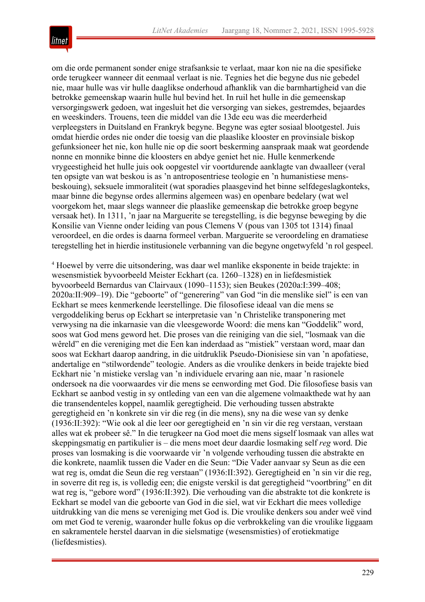

om die orde permanent sonder enige strafsanksie te verlaat, maar kon nie na die spesifieke orde terugkeer wanneer dit eenmaal verlaat is nie. Tegnies het die begyne dus nie gebedel nie, maar hulle was vir hulle daaglikse onderhoud afhanklik van die barmhartigheid van die betrokke gemeenskap waarin hulle hul bevind het. In ruil het hulle in die gemeenskap versorgingswerk gedoen, wat ingesluit het die versorging van siekes, gestremdes, bejaardes en weeskinders. Trouens, teen die middel van die 13de eeu was die meerderheid verpleegsters in Duitsland en Frankryk begyne. Begyne was egter sosiaal blootgestel. Juis omdat hierdie ordes nie onder die toesig van die plaaslike klooster en provinsiale biskop gefunksioneer het nie, kon hulle nie op die soort beskerming aanspraak maak wat geordende nonne en monnike binne die kloosters en abdye geniet het nie. Hulle kenmerkende vrygeestigheid het hulle juis ook oopgestel vir voortdurende aanklagte van dwaalleer (veral ten opsigte van wat beskou is as 'n antroposentriese teologie en 'n humanistiese mensbeskouing), seksuele immoraliteit (wat sporadies plaasgevind het binne selfdegeslagkonteks, maar binne die begynse ordes allermins algemeen was) en openbare bedelary (wat wel voorgekom het, maar slegs wanneer die plaaslike gemeenskap die betrokke groep begyne versaak het). In 1311, 'n jaar na Marguerite se teregstelling, is die begynse beweging by die Konsilie van Vienne onder leiding van pous Clemens V (pous van 1305 tot 1314) finaal veroordeel, en die ordes is daarna formeel verban. Marguerite se veroordeling en dramatiese teregstelling het in hierdie institusionele verbanning van die begyne ongetwyfeld 'n rol gespeel.

<sup>4</sup> Hoewel by verre die uitsondering, was daar wel manlike eksponente in beide trajekte: in wesensmistiek byvoorbeeld Meister Eckhart (ca. 1260–1328) en in liefdesmistiek byvoorbeeld Bernardus van Clairvaux (1090–1153); sien Beukes (2020a:I:399–408; 2020a:II:909–19). Die "geboorte" of "generering" van God "in die menslike siel" is een van Eckhart se mees kenmerkende leerstellinge. Die filosofiese ideaal van die mens se vergoddeliking berus op Eckhart se interpretasie van 'n Christelike transponering met verwysing na die inkarnasie van die vleesgeworde Woord: die mens kan "Goddelik" word, soos wat God mens geword het. Die proses van die reiniging van die siel, "losmaak van die wêreld" en die vereniging met die Een kan inderdaad as "mistiek" verstaan word, maar dan soos wat Eckhart daarop aandring, in die uitdruklik Pseudo-Dionisiese sin van 'n apofatiese, andertalige en "stilwordende" teologie. Anders as die vroulike denkers in beide trajekte bied Eckhart nie 'n mistieke verslag van 'n individuele ervaring aan nie, maar 'n rasionele ondersoek na die voorwaardes vir die mens se eenwording met God. Die filosofiese basis van Eckhart se aanbod vestig in sy ontleding van een van die algemene volmaakthede wat hy aan die transendenteles koppel, naamlik geregtigheid. Die verhouding tussen abstrakte geregtigheid en 'n konkrete sin vir die reg (in die mens), sny na die wese van sy denke (1936:II:392): "Wie ook al die leer oor geregtigheid en 'n sin vir die reg verstaan, verstaan alles wat ek probeer sê." In die terugkeer na God moet die mens sigself losmaak van alles wat skeppingsmatig en partikulier is – die mens moet deur daardie losmaking self *reg* word. Die proses van losmaking is die voorwaarde vir 'n volgende verhouding tussen die abstrakte en die konkrete, naamlik tussen die Vader en die Seun: "Die Vader aanvaar sy Seun as die een wat reg is, omdat die Seun die reg verstaan" (1936:II:392). Geregtigheid en 'n sin vir die reg, in soverre dit reg is, is volledig een; die enigste verskil is dat geregtigheid "voortbring" en dit wat reg is, "gebore word" (1936:II:392). Die verhouding van die abstrakte tot die konkrete is Eckhart se model van die geboorte van God in die siel, wat vir Eckhart die mees volledige uitdrukking van die mens se vereniging met God is. Die vroulike denkers sou ander weë vind om met God te verenig, waaronder hulle fokus op die verbrokkeling van die vroulike liggaam en sakramentele herstel daarvan in die sielsmatige (wesensmisties) of erotiekmatige (liefdesmisties).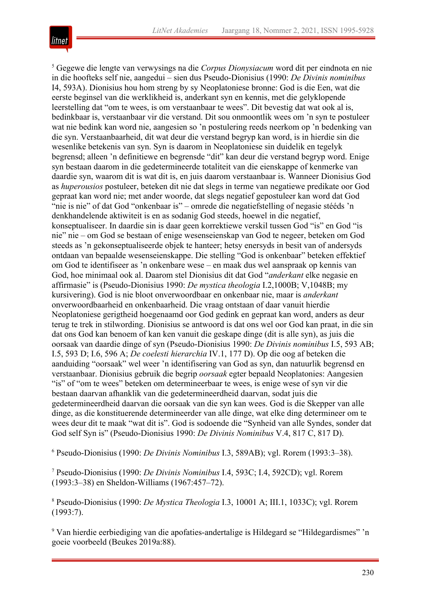

<sup>5</sup> Gegewe die lengte van verwysings na die *Corpus Dionysiacum* word dit per eindnota en nie in die hoofteks self nie, aangedui – sien dus Pseudo-Dionisius (1990: *De Divinis nominibus* I4, 593A). Dionisius hou hom streng by sy Neoplatoniese bronne: God is die Een, wat die eerste beginsel van die werklikheid is, anderkant syn en kennis, met die gelyklopende leerstelling dat "om te wees, is om verstaanbaar te wees". Dit bevestig dat wat ook al is, bedinkbaar is, verstaanbaar vir die verstand. Dit sou onmoontlik wees om 'n syn te postuleer wat nie bedink kan word nie, aangesien so 'n postulering reeds neerkom op 'n bedenking van die syn. Verstaanbaarheid, dit wat deur die verstand begryp kan word, is in hierdie sin die wesenlike betekenis van syn. Syn is daarom in Neoplatoniese sin duidelik en tegelyk begrensd; alleen 'n definitiewe en begrensde "dit" kan deur die verstand begryp word. Enige syn bestaan daarom in die gedetermineerde totaliteit van die eienskappe of kenmerke van daardie syn, waarom dit is wat dit is, en juis daarom verstaanbaar is. Wanneer Dionisius God as *huperousios* postuleer, beteken dit nie dat slegs in terme van negatiewe predikate oor God gepraat kan word nie; met ander woorde, dat slegs negatief gepostuleer kan word dat God "nie is nie" of dat God "onkenbaar is" – omrede die negatiefstelling of negasie stééds 'n denkhandelende aktiwiteit is en as sodanig God steeds, hoewel in die negatief, konseptualiseer. In daardie sin is daar geen korrektiewe verskil tussen God "is" en God "is nie" nie – om God se bestaan of enige wesenseienskap van God te negeer, beteken om God steeds as 'n gekonseptualiseerde objek te hanteer; hetsy enersyds in besit van of andersyds ontdaan van bepaalde wesenseienskappe. Die stelling "God is onkenbaar" beteken effektief om God te identifiseer as 'n onkenbare wese – en maak dus wel aanspraak op kennis van God, hoe minimaal ook al. Daarom stel Dionisius dit dat God "*anderkant* elke negasie en affirmasie" is (Pseudo-Dionisius 1990: *De mystica theologia* I.2,1000B; V,1048B; my kursivering). God is nie bloot onverwoordbaar en onkenbaar nie, maar is *anderkant* onverwoordbaarheid en onkenbaarheid. Die vraag ontstaan of daar vanuit hierdie Neoplatoniese gerigtheid hoegenaamd oor God gedink en gepraat kan word, anders as deur terug te trek in stilwording. Dionisius se antwoord is dat ons wel oor God kan praat, in die sin dat ons God kan benoem of kan ken vanuit die geskape dinge (dit is alle syn), as juis die oorsaak van daardie dinge of syn (Pseudo-Dionisius 1990: *De Divinis nominibus* I.5, 593 AB; I.5, 593 D; I.6, 596 A; *De coelesti hierarchia* IV.1, 177 D). Op die oog af beteken die aanduiding "oorsaak" wel weer 'n identifisering van God as syn, dan natuurlik begrensd en verstaanbaar. Dionisius gebruik die begrip *oorsaak* egter bepaald Neoplatonies: Aangesien "is" of "om te wees" beteken om determineerbaar te wees, is enige wese of syn vir die bestaan daarvan afhanklik van die gedetermineerdheid daarvan, sodat juis die gedetermineerdheid daarvan die oorsaak van die syn kan wees. God is die Skepper van alle dinge, as die konstituerende determineerder van alle dinge, wat elke ding determineer om te wees deur dit te maak "wat dit is". God is sodoende die "Synheid van alle Syndes, sonder dat God self Syn is" (Pseudo-Dionisius 1990: *De Divinis Nominibus* V.4, 817 C, 817 D).

<sup>6</sup> Pseudo-Dionisius (1990: *De Divinis Nominibus* I.3, 589AB); vgl. Rorem (1993:3–38).

<sup>7</sup> Pseudo-Dionisius (1990: *De Divinis Nominibus* I.4, 593C; I.4, 592CD); vgl. Rorem (1993:3–38) en Sheldon-Williams (1967:457–72).

<sup>8</sup> Pseudo-Dionisius (1990: *De Mystica Theologia* I.3, 10001 A; III.1, 1033C); vgl. Rorem (1993:7).

<sup>9</sup> Van hierdie eerbiediging van die apofaties-andertalige is Hildegard se "Hildegardismes" 'n goeie voorbeeld (Beukes 2019a:88).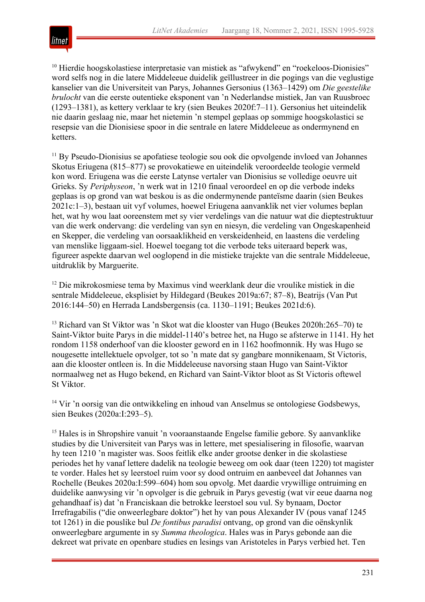

<sup>10</sup> Hierdie hoogskolastiese interpretasie van mistiek as "afwykend" en "roekeloos-Dionisies" word selfs nog in die latere Middeleeue duidelik geïllustreer in die pogings van die veglustige kanselier van die Universiteit van Parys, Johannes Gersonius (1363–1429) om *Die geestelike brulocht* van die eerste outentieke eksponent van 'n Nederlandse mistiek, Jan van Ruusbroec (1293–1381), as kettery verklaar te kry (sien Beukes 2020f:7–11). Gersonius het uiteindelik nie daarin geslaag nie, maar het nietemin 'n stempel geplaas op sommige hoogskolastici se resepsie van die Dionisiese spoor in die sentrale en latere Middeleeue as ondermynend en ketters.

<sup>11</sup> By Pseudo-Dionisius se apofatiese teologie sou ook die opvolgende invloed van Johannes Skotus Eriugena (815–877) se provokatiewe en uiteindelik veroordeelde teologie vermeld kon word. Eriugena was die eerste Latynse vertaler van Dionisius se volledige oeuvre uit Grieks. Sy *Periphyseon*, 'n werk wat in 1210 finaal veroordeel en op die verbode indeks geplaas is op grond van wat beskou is as die ondermynende panteïsme daarin (sien Beukes 2021c:1–3), bestaan uit vyf volumes, hoewel Eriugena aanvanklik net vier volumes beplan het, wat hy wou laat ooreenstem met sy vier verdelings van die natuur wat die dieptestruktuur van die werk ondervang: die verdeling van syn en niesyn, die verdeling van Ongeskapenheid en Skepper, die verdeling van oorsaaklikheid en verskeidenheid, en laastens die verdeling van menslike liggaam-siel. Hoewel toegang tot die verbode teks uiteraard beperk was, figureer aspekte daarvan wel ooglopend in die mistieke trajekte van die sentrale Middeleeue, uitdruklik by Marguerite.

<sup>12</sup> Die mikrokosmiese tema by Maximus vind weerklank deur die vroulike mistiek in die sentrale Middeleeue, eksplisiet by Hildegard (Beukes 2019a:67; 87–8), Beatrijs (Van Put 2016:144–50) en Herrada Landsbergensis (ca. 1130–1191; Beukes 2021d:6).

<sup>13</sup> Richard van St Viktor was 'n Skot wat die klooster van Hugo (Beukes 2020h:265–70) te Saint-Viktor buite Parys in die middel-1140's betree het, na Hugo se afsterwe in 1141. Hy het rondom 1158 onderhoof van die klooster geword en in 1162 hoofmonnik. Hy was Hugo se nougesette intellektuele opvolger, tot so 'n mate dat sy gangbare monnikenaam, St Victoris, aan die klooster ontleen is. In die Middeleeuse navorsing staan Hugo van Saint-Viktor normaalweg net as Hugo bekend, en Richard van Saint-Viktor bloot as St Victoris oftewel St Viktor.

<sup>14</sup> Vir 'n oorsig van die ontwikkeling en inhoud van Anselmus se ontologiese Godsbewys, sien Beukes (2020a:I:293–5).

<sup>15</sup> Hales is in Shropshire vanuit 'n vooraanstaande Engelse familie gebore. Sy aanvanklike studies by die Universiteit van Parys was in lettere, met spesialisering in filosofie, waarvan hy teen 1210 'n magister was. Soos feitlik elke ander grootse denker in die skolastiese periodes het hy vanaf lettere dadelik na teologie beweeg om ook daar (teen 1220) tot magister te vorder. Hales het sy leerstoel ruim voor sy dood ontruim en aanbeveel dat Johannes van Rochelle (Beukes 2020a:I:599–604) hom sou opvolg. Met daardie vrywillige ontruiming en duidelike aanwysing vir 'n opvolger is die gebruik in Parys gevestig (wat vir eeue daarna nog gehandhaaf is) dat 'n Franciskaan die betrokke leerstoel sou vul. Sy bynaam, Doctor Irrefragabilis ("die onweerlegbare doktor") het hy van pous Alexander IV (pous vanaf 1245 tot 1261) in die pouslike bul *De fontibus paradisi* ontvang, op grond van die oënskynlik onweerlegbare argumente in sy *Summa theologica*. Hales was in Parys gebonde aan die dekreet wat private en openbare studies en lesings van Aristoteles in Parys verbied het. Ten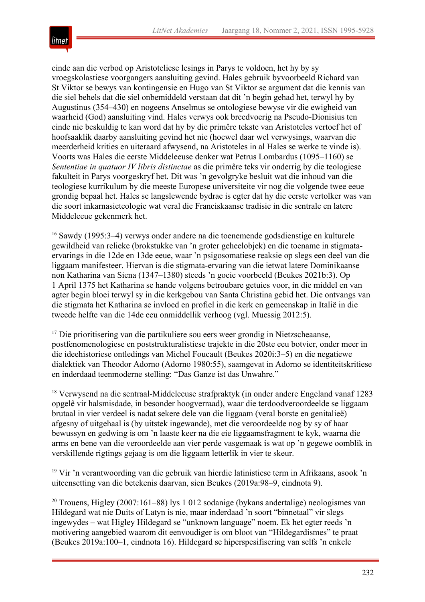

einde aan die verbod op Aristoteliese lesings in Parys te voldoen, het hy by sy vroegskolastiese voorgangers aansluiting gevind. Hales gebruik byvoorbeeld Richard van St Viktor se bewys van kontingensie en Hugo van St Viktor se argument dat die kennis van die siel behels dat die siel onbemiddeld verstaan dat dit 'n begin gehad het, terwyl hy by Augustinus (354–430) en nogeens Anselmus se ontologiese bewyse vir die ewigheid van waarheid (God) aansluiting vind. Hales verwys ook breedvoerig na Pseudo-Dionisius ten einde nie beskuldig te kan word dat hy by die primêre tekste van Aristoteles vertoef het of hoofsaaklik daarby aansluiting gevind het nie (hoewel daar wel verwysings, waarvan die meerderheid krities en uiteraard afwysend, na Aristoteles in al Hales se werke te vinde is). Voorts was Hales die eerste Middeleeuse denker wat Petrus Lombardus (1095–1160) se *Sententiae in quatuor IV libris distinctae* as die primêre teks vir onderrig by die teologiese fakulteit in Parys voorgeskryf het. Dit was 'n gevolgryke besluit wat die inhoud van die teologiese kurrikulum by die meeste Europese universiteite vir nog die volgende twee eeue grondig bepaal het. Hales se langslewende bydrae is egter dat hy die eerste vertolker was van die soort inkarnasieteologie wat veral die Franciskaanse tradisie in die sentrale en latere Middeleeue gekenmerk het.

<sup>16</sup> Sawdy (1995:3–4) verwys onder andere na die toenemende godsdienstige en kulturele gewildheid van relieke (brokstukke van 'n groter geheelobjek) en die toename in stigmataervarings in die 12de en 13de eeue, waar 'n psigosomatiese reaksie op slegs een deel van die liggaam manifesteer. Hiervan is die stigmata-ervaring van die ietwat latere Dominikaanse non Katharina van Siena (1347–1380) steeds 'n goeie voorbeeld (Beukes 2021b:3). Op 1 April 1375 het Katharina se hande volgens betroubare getuies voor, in die middel en van agter begin bloei terwyl sy in die kerkgebou van Santa Christina gebid het. Die ontvangs van die stigmata het Katharina se invloed en profiel in die kerk en gemeenskap in Italië in die tweede helfte van die 14de eeu onmiddellik verhoog (vgl. Muessig 2012:5).

<sup>17</sup> Die prioritisering van die partikuliere sou eers weer grondig in Nietzscheaanse, postfenomenologiese en poststrukturalistiese trajekte in die 20ste eeu botvier, onder meer in die ideehistoriese ontledings van Michel Foucault (Beukes 2020i:3–5) en die negatiewe dialektiek van Theodor Adorno (Adorno 1980:55), saamgevat in Adorno se identiteitskritiese en inderdaad teenmoderne stelling: "Das Ganze ist das Unwahre."

<sup>18</sup> Verwysend na die sentraal-Middeleeuse strafpraktyk (in onder andere Engeland vanaf 1283 opgelê vir halsmisdade, in besonder hoogverraad), waar die terdoodveroordeelde se liggaam brutaal in vier verdeel is nadat sekere dele van die liggaam (veral borste en genitalieë) afgesny of uitgehaal is (by uitstek ingewande), met die veroordeelde nog by sy of haar bewussyn en gedwing is om 'n laaste keer na die eie liggaamsfragment te kyk, waarna die arms en bene van die veroordeelde aan vier perde vasgemaak is wat op 'n gegewe oomblik in verskillende rigtings gejaag is om die liggaam letterlik in vier te skeur.

<sup>19</sup> Vir 'n verantwoording van die gebruik van hierdie latinistiese term in Afrikaans, asook 'n uiteensetting van die betekenis daarvan, sien Beukes (2019a:98–9, eindnota 9).

<sup>20</sup> Trouens, Higley (2007:161–88) lys 1 012 sodanige (bykans andertalige) neologismes van Hildegard wat nie Duits of Latyn is nie, maar inderdaad 'n soort "binnetaal" vir slegs ingewydes – wat Higley Hildegard se "unknown language" noem. Ek het egter reeds 'n motivering aangebied waarom dit eenvoudiger is om bloot van "Hildegardismes" te praat (Beukes 2019a:100–1, eindnota 16). Hildegard se hiperspesifisering van selfs 'n enkele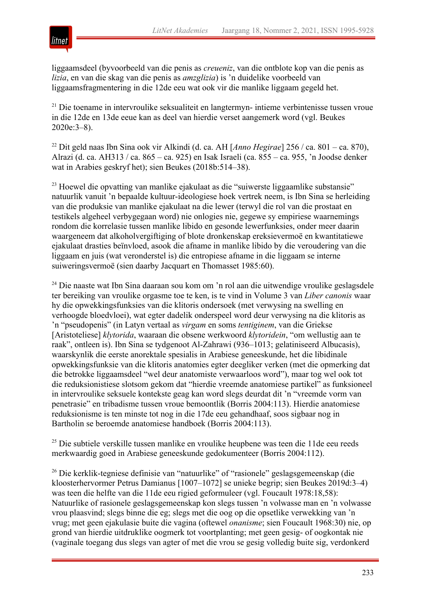

liggaamsdeel (byvoorbeeld van die penis as *creueniz*, van die ontblote kop van die penis as *lizia*, en van die skag van die penis as *amzglizia*) is 'n duidelike voorbeeld van liggaamsfragmentering in die 12de eeu wat ook vir die manlike liggaam gegeld het.

<sup>21</sup> Die toename in intervroulike seksualiteit en langtermyn- intieme verbintenisse tussen vroue in die 12de en 13de eeue kan as deel van hierdie verset aangemerk word (vgl. Beukes 2020e:3–8).

<sup>22</sup> Dit geld naas Ibn Sina ook vir Alkindi (d. ca. AH [*Anno Hegirae*] 256 / ca. 801 – ca. 870), Alrazi (d. ca. AH313 / ca. 865 – ca. 925) en Isak Israeli (ca. 855 – ca. 955, 'n Joodse denker wat in Arabies geskryf het); sien Beukes (2018b:514–38).

<sup>23</sup> Hoewel die opvatting van manlike ejakulaat as die "suiwerste liggaamlike substansie" natuurlik vanuit 'n bepaalde kultuur-ideologiese hoek vertrek neem, is Ibn Sina se herleiding van die produksie van manlike ejakulaat na die lewer (terwyl die rol van die prostaat en testikels algeheel verbygegaan word) nie onlogies nie, gegewe sy empiriese waarnemings rondom die korrelasie tussen manlike libido en gesonde lewerfunksies, onder meer daarin waargeneem dat alkoholvergiftiging of blote dronkenskap ereksievermoë en kwantitatiewe ejakulaat drasties beïnvloed, asook die afname in manlike libido by die veroudering van die liggaam en juis (wat veronderstel is) die entropiese afname in die liggaam se interne suiweringsvermoë (sien daarby Jacquart en Thomasset 1985:60).

<sup>24</sup> Die naaste wat Ibn Sina daaraan sou kom om 'n rol aan die uitwendige vroulike geslagsdele ter bereiking van vroulike orgasme toe te ken, is te vind in Volume 3 van *Liber canonis* waar hy die opwekkingsfunksies van die klitoris ondersoek (met verwysing na swelling en verhoogde bloedvloei), wat egter dadelik onderspeel word deur verwysing na die klitoris as 'n "pseudopenis" (in Latyn vertaal as *virgam* en soms *tentiginem*, van die Griekse [Aristoteliese] *klytorida*, waaraan die obsene werkwoord *klytoridein*, "om wellustig aan te raak", ontleen is). Ibn Sina se tydgenoot Al-Zahrawi (936–1013; gelatiniseerd Albucasis), waarskynlik die eerste anorektale spesialis in Arabiese geneeskunde, het die libidinale opwekkingsfunksie van die klitoris anatomies egter deegliker verken (met die opmerking dat die betrokke liggaamsdeel "wel deur anatomiste verwaarloos word"), maar tog wel ook tot die reduksionistiese slotsom gekom dat "hierdie vreemde anatomiese partikel" as funksioneel in intervroulike seksuele kontekste geag kan word slegs deurdat dit 'n "vreemde vorm van penetrasie" en tribadisme tussen vroue bemoontlik (Borris 2004:113). Hierdie anatomiese reduksionisme is ten minste tot nog in die 17de eeu gehandhaaf, soos sigbaar nog in Bartholin se beroemde anatomiese handboek (Borris 2004:113).

<sup>25</sup> Die subtiele verskille tussen manlike en vroulike heupbene was teen die 11de eeu reeds merkwaardig goed in Arabiese geneeskunde gedokumenteer (Borris 2004:112).

<sup>26</sup> Die kerklik-tegniese definisie van "natuurlike" of "rasionele" geslagsgemeenskap (die kloosterhervormer Petrus Damianus [1007–1072] se unieke begrip; sien Beukes 2019d:3–4) was teen die helfte van die 11de eeu rigied geformuleer (vgl. Foucault 1978:18,58): Natuurlike of rasionele geslagsgemeenskap kon slegs tussen 'n volwasse man en 'n volwasse vrou plaasvind; slegs binne die eg; slegs met die oog op die opsetlike verwekking van 'n vrug; met geen ejakulasie buite die vagina (oftewel *onanisme*; sien Foucault 1968:30) nie, op grond van hierdie uitdruklike oogmerk tot voortplanting; met geen gesig- of oogkontak nie (vaginale toegang dus slegs van agter of met die vrou se gesig volledig buite sig, verdonkerd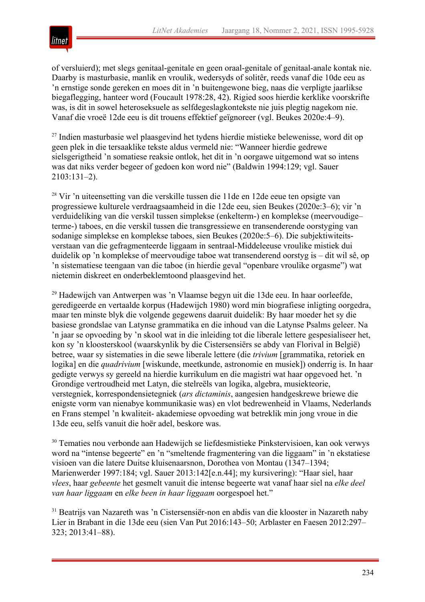

of versluierd); met slegs genitaal-genitale en geen oraal-genitale of genitaal-anale kontak nie. Daarby is masturbasie, manlik en vroulik, wedersyds of solitêr, reeds vanaf die 10de eeu as 'n ernstige sonde gereken en moes dit in 'n buitengewone bieg, naas die verpligte jaarlikse biegaflegging, hanteer word (Foucault 1978:28, 42). Rigied soos hierdie kerklike voorskrifte was, is dit in sowel heteroseksuele as selfdegeslagkontekste nie juis plegtig nagekom nie. Vanaf die vroeë 12de eeu is dit trouens effektief geïgnoreer (vgl. Beukes 2020e:4–9).

<sup>27</sup> Indien masturbasie wel plaasgevind het tydens hierdie mistieke belewenisse, word dit op geen plek in die tersaaklike tekste aldus vermeld nie: "Wanneer hierdie gedrewe sielsgerigtheid 'n somatiese reaksie ontlok, het dit in 'n oorgawe uitgemond wat so intens was dat niks verder begeer of gedoen kon word nie" (Baldwin 1994:129; vgl. Sauer 2103:131–2).

<sup>28</sup> Vir 'n uiteensetting van die verskille tussen die 11de en 12de eeue ten opsigte van progressiewe kulturele verdraagsaamheid in die 12de eeu, sien Beukes (2020e:3–6); vir 'n verduideliking van die verskil tussen simplekse (enkelterm-) en komplekse (meervoudige– terme-) taboes, en die verskil tussen die transgressiewe en transenderende oorstyging van sodanige simplekse en komplekse taboes, sien Beukes (2020e:5–6). Die subjektiwiteitsverstaan van die gefragmenteerde liggaam in sentraal-Middeleeuse vroulike mistiek dui duidelik op 'n komplekse of meervoudige taboe wat transenderend oorstyg is – dit wil sê, op 'n sistematiese teengaan van die taboe (in hierdie geval "openbare vroulike orgasme") wat nietemin diskreet en onderbeklemtoond plaasgevind het.

<sup>29</sup> Hadewijch van Antwerpen was 'n Vlaamse begyn uit die 13de eeu. In haar oorleefde, geredigeerde en vertaalde korpus (Hadewijch 1980) word min biografiese inligting oorgedra, maar ten minste blyk die volgende gegewens daaruit duidelik: By haar moeder het sy die basiese grondslae van Latynse grammatika en die inhoud van die Latynse Psalms geleer. Na 'n jaar se opvoeding by 'n skool wat in die inleiding tot die liberale lettere gespesialiseer het, kon sy 'n kloosterskool (waarskynlik by die Cistersensiërs se abdy van Florival in België) betree, waar sy sistematies in die sewe liberale lettere (die *trivium* [grammatika, retoriek en logika] en die *quadrivium* [wiskunde, meetkunde, astronomie en musiek]) onderrig is. In haar gedigte verwys sy gereeld na hierdie kurrikulum en die magistri wat haar opgevoed het. 'n Grondige vertroudheid met Latyn, die stelreëls van logika, algebra, musiekteorie, verstegniek, korrespondensietegniek (*ars dictaminis*, aangesien handgeskrewe briewe die enigste vorm van nienabye kommunikasie was) en vlot bedrewenheid in Vlaams, Nederlands en Frans stempel 'n kwaliteit- akademiese opvoeding wat betreklik min jong vroue in die 13de eeu, selfs vanuit die hoër adel, beskore was.

<sup>30</sup> Tematies nou verbonde aan Hadewijch se liefdesmistieke Pinkstervisioen, kan ook verwys word na "intense begeerte" en 'n "smeltende fragmentering van die liggaam" in 'n ekstatiese visioen van die latere Duitse kluisenaarsnon, Dorothea von Montau (1347–1394; Marienwerder 1997:184; vgl. Sauer 2013:142[e.n.44]; my kursivering): "Haar siel, haar *vlees*, haar *gebeente* het gesmelt vanuit die intense begeerte wat vanaf haar siel na *elke deel van haar liggaam* en *elke been in haar liggaam* oorgespoel het."

<sup>31</sup> Beatrijs van Nazareth was 'n Cistersensiër-non en abdis van die klooster in Nazareth naby Lier in Brabant in die 13de eeu (sien Van Put 2016:143–50; Arblaster en Faesen 2012:297– 323; 2013:41–88).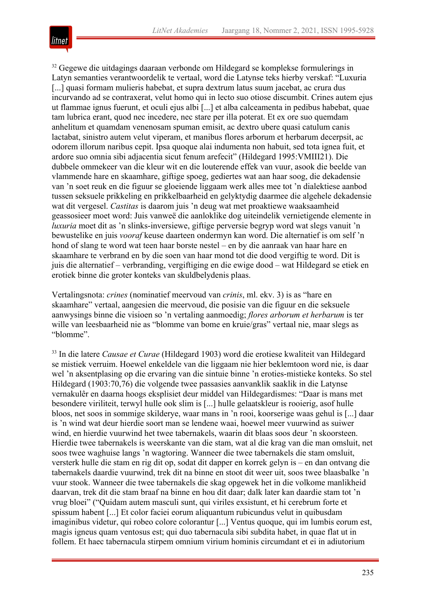

<sup>32</sup> Gegewe die uitdagings daaraan verbonde om Hildegard se komplekse formulerings in Latyn semanties verantwoordelik te vertaal, word die Latynse teks hierby verskaf: "Luxuria [...] quasi formam mulieris habebat, et supra dextrum latus suum jacebat, ac crura dus incurvando ad se contraxerat, velut homo qui in lecto suo otiose discumbit. Crines autem ejus ut flammae ignus fuerunt, et oculi ejus albi [...] et alba calceamenta in pedibus habebat, quae tam lubrica erant, quod nec incedere, nec stare per illa poterat. Et ex ore suo quemdam anhelitum et quamdam venenosam spuman emisit, ac dextro ubere quasi catulum canis lactabat, sinistro autem velut viperam, et manibus flores arborum et herbarum decerpsit, ac odorem illorum naribus cepit. Ipsa quoque alai indumenta non habuit, sed tota ignea fuit, et ardore suo omnia sibi adjacentia sicut fenum arefecit" (Hildegard 1995:VMIII21). Die dubbele ommekeer van die kleur wit en die louterende effek van vuur, asook die beelde van vlammende hare en skaamhare, giftige spoeg, gediertes wat aan haar soog, die dekadensie van 'n soet reuk en die figuur se gloeiende liggaam werk alles mee tot 'n dialektiese aanbod tussen seksuele prikkeling en prikkelbaarheid en gelyktydig daarmee die algehele dekadensie wat dit vergesel. *Castitas* is daarom juis 'n deug wat met proaktiewe waaksaamheid geassosieer moet word: Juis vanweë die aanloklike dog uiteindelik vernietigende elemente in *luxuria* moet dit as 'n slinks-inversiewe, giftige perversie begryp word wat slegs vanuit 'n bewustelike en juis *vooraf* keuse daarteen ondermyn kan word. Die alternatief is om self 'n hond of slang te word wat teen haar borste nestel – en by die aanraak van haar hare en skaamhare te verbrand en by die soen van haar mond tot die dood vergiftig te word. Dit is juis die alternatief – verbranding, vergiftiging en die ewige dood – wat Hildegard se etiek en erotiek binne die groter konteks van skuldbelydenis plaas.

Vertalingsnota: *crines* (nominatief meervoud van *crinis*, ml. ekv. 3) is as "hare en skaamhare" vertaal, aangesien die meervoud, die posisie van die figuur en die seksuele aanwysings binne die visioen so 'n vertaling aanmoedig; *flores arborum et herbarum* is ter wille van leesbaarheid nie as "blomme van bome en kruie/gras" vertaal nie, maar slegs as "blomme".

<sup>33</sup> In die latere *Causae et Curae* (Hildegard 1903) word die erotiese kwaliteit van Hildegard se mistiek verruim. Hoewel enkeldele van die liggaam nie hier beklemtoon word nie, is daar wel 'n aksentplasing op die ervaring van die sintuie binne 'n eroties-mistieke konteks. So stel Hildegard (1903:70,76) die volgende twee passasies aanvanklik saaklik in die Latynse vernakulêr en daarna hoogs eksplisiet deur middel van Hildegardismes: "Daar is mans met besondere viriliteit, terwyl hulle ook slim is [...] hulle gelaatskleur is rooierig, asof hulle bloos, net soos in sommige skilderye, waar mans in 'n rooi, koorserige waas gehul is [...] daar is 'n wind wat deur hierdie soort man se lendene waai, hoewel meer vuurwind as suiwer wind, en hierdie vuurwind het twee tabernakels, waarin dit blaas soos deur 'n skoorsteen. Hierdie twee tabernakels is weerskante van die stam, wat al die krag van die man omsluit, net soos twee waghuise langs 'n wagtoring. Wanneer die twee tabernakels die stam omsluit, versterk hulle die stam en rig dit op, sodat dit dapper en korrek gelyn is – en dan ontvang die tabernakels daardie vuurwind, trek dit na binne en stoot dit weer uit, soos twee blaasbalke 'n vuur stook. Wanneer die twee tabernakels die skag opgewek het in die volkome manlikheid daarvan, trek dit die stam braaf na binne en hou dit daar; dalk later kan daardie stam tot 'n vrug bloei" ("Quidam autem masculi sunt, qui viriles exsistunt, et hi cerebrum forte et spissum habent [...] Et color faciei eorum aliquantum rubicundus velut in quibusdam imaginibus videtur, qui robeo colore colorantur [...] Ventus quoque, qui im lumbis eorum est, magis igneus quam ventosus est; qui duo tabernacula sibi subdita habet, in quae flat ut in follem. Et haec tabernacula stirpem omnium virium hominis circumdant et ei in adiutorium